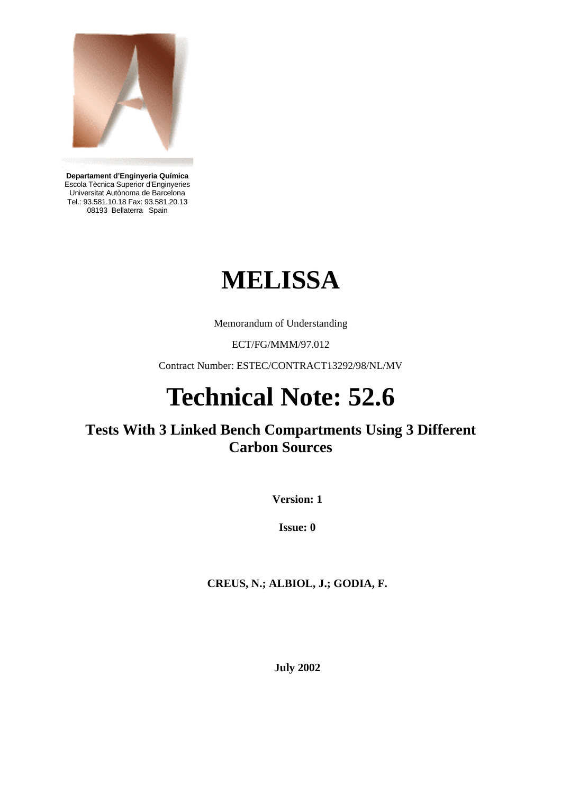

**Departament d'Enginyeria Química**  Escola Tècnica Superior d'Enginyeries Universitat Autònoma de Barcelona Tel.: 93.581.10.18 Fax: 93.581.20.13 08193 Bellaterra Spain

# **MELISSA**

Memorandum of Understanding

ECT/FG/MMM/97.012

Contract Number: ESTEC/CONTRACT13292/98/NL/MV

# **Technical Note: 52.6**

# **Tests With 3 Linked Bench Compartments Using 3 Different Carbon Sources**

**Version: 1** 

**Issue: 0** 

**CREUS, N.; ALBIOL, J.; GODIA, F.** 

**July 2002**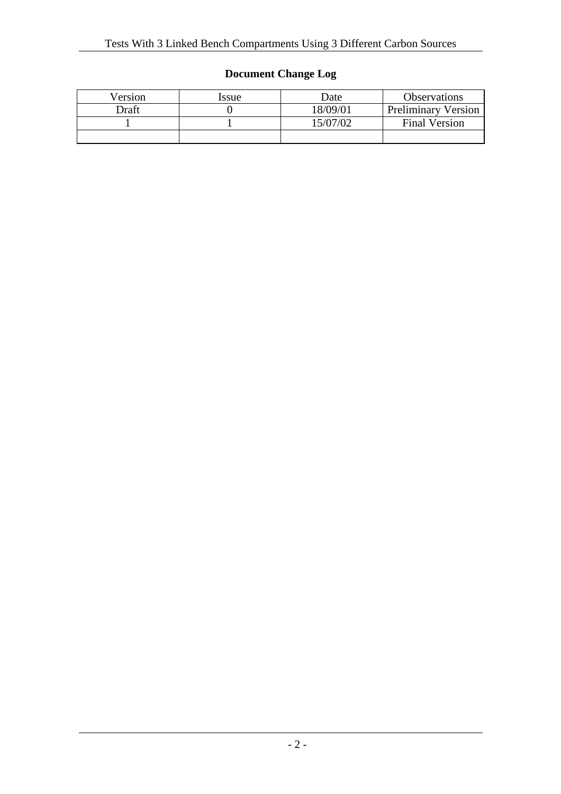# **Document Change Log**

| Version      | Issue | Date     | <b>Observations</b>        |
|--------------|-------|----------|----------------------------|
| <b>Draft</b> |       | 18/09/01 | <b>Preliminary Version</b> |
|              |       | 15/07/02 | <b>Final Version</b>       |
|              |       |          |                            |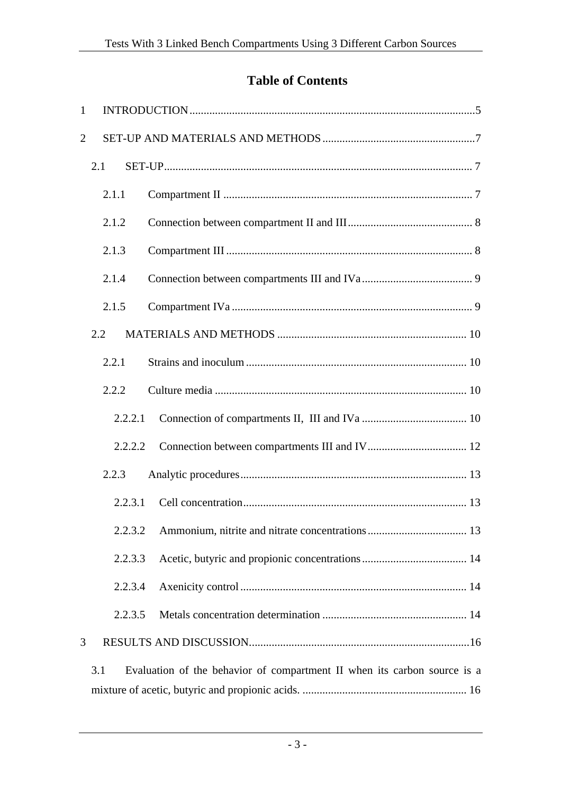# **Table of Contents**

| $\mathbf{1}$   |         |                                                                          |
|----------------|---------|--------------------------------------------------------------------------|
| $\overline{2}$ |         |                                                                          |
|                | 2.1     |                                                                          |
|                | 2.1.1   |                                                                          |
|                | 2.1.2   |                                                                          |
|                | 2.1.3   |                                                                          |
|                | 2.1.4   |                                                                          |
|                | 2.1.5   |                                                                          |
|                | 2.2     |                                                                          |
|                | 2.2.1   |                                                                          |
|                | 2.2.2   |                                                                          |
|                | 2.2.2.1 |                                                                          |
|                | 2.2.2.2 |                                                                          |
|                | 2.2.3   |                                                                          |
|                | 2.2.3.1 |                                                                          |
|                | 2.2.3.2 |                                                                          |
|                | 2.2.3.3 |                                                                          |
|                | 2.2.3.4 |                                                                          |
|                | 2.2.3.5 |                                                                          |
| 3              |         |                                                                          |
|                | 3.1     | Evaluation of the behavior of compartment II when its carbon source is a |
|                |         |                                                                          |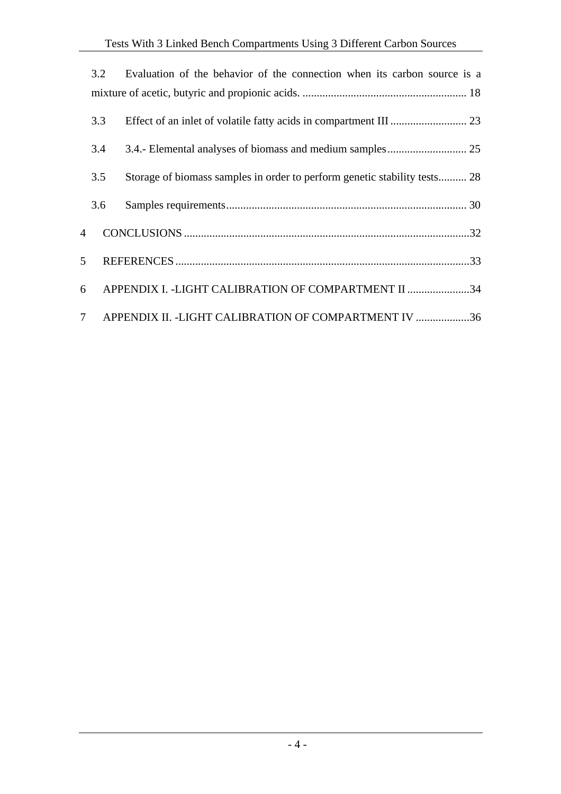|                | 3.2 | Evaluation of the behavior of the connection when its carbon source is a  |
|----------------|-----|---------------------------------------------------------------------------|
|                |     |                                                                           |
|                | 3.3 |                                                                           |
|                | 3.4 |                                                                           |
|                | 3.5 | Storage of biomass samples in order to perform genetic stability tests 28 |
|                | 3.6 |                                                                           |
| $\overline{4}$ |     |                                                                           |
| 5              |     |                                                                           |
| 6              |     | APPENDIX I. - LIGHT CALIBRATION OF COMPARTMENT II 34                      |
| $7^{\circ}$    |     | APPENDIX II. - LIGHT CALIBRATION OF COMPARTMENT IV 36                     |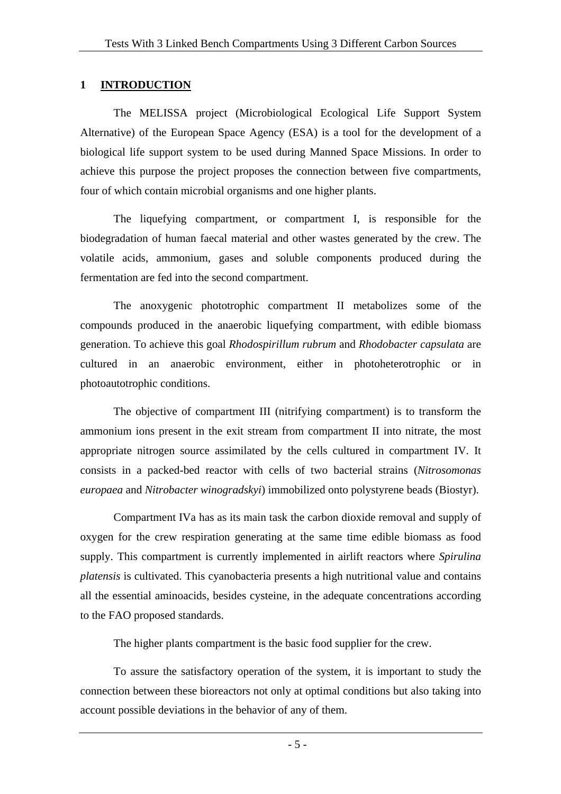#### **1 INTRODUCTION**

The MELISSA project (Microbiological Ecological Life Support System Alternative) of the European Space Agency (ESA) is a tool for the development of a biological life support system to be used during Manned Space Missions. In order to achieve this purpose the project proposes the connection between five compartments, four of which contain microbial organisms and one higher plants.

The liquefying compartment, or compartment I, is responsible for the biodegradation of human faecal material and other wastes generated by the crew. The volatile acids, ammonium, gases and soluble components produced during the fermentation are fed into the second compartment.

The anoxygenic phototrophic compartment II metabolizes some of the compounds produced in the anaerobic liquefying compartment, with edible biomass generation. To achieve this goal *Rhodospirillum rubrum* and *Rhodobacter capsulata* are cultured in an anaerobic environment, either in photoheterotrophic or in photoautotrophic conditions.

The objective of compartment III (nitrifying compartment) is to transform the ammonium ions present in the exit stream from compartment II into nitrate, the most appropriate nitrogen source assimilated by the cells cultured in compartment IV. It consists in a packed-bed reactor with cells of two bacterial strains (*Nitrosomonas europaea* and *Nitrobacter winogradskyi*) immobilized onto polystyrene beads (Biostyr).

Compartment IVa has as its main task the carbon dioxide removal and supply of oxygen for the crew respiration generating at the same time edible biomass as food supply. This compartment is currently implemented in airlift reactors where *Spirulina platensis* is cultivated. This cyanobacteria presents a high nutritional value and contains all the essential aminoacids, besides cysteine, in the adequate concentrations according to the FAO proposed standards.

The higher plants compartment is the basic food supplier for the crew.

To assure the satisfactory operation of the system, it is important to study the connection between these bioreactors not only at optimal conditions but also taking into account possible deviations in the behavior of any of them.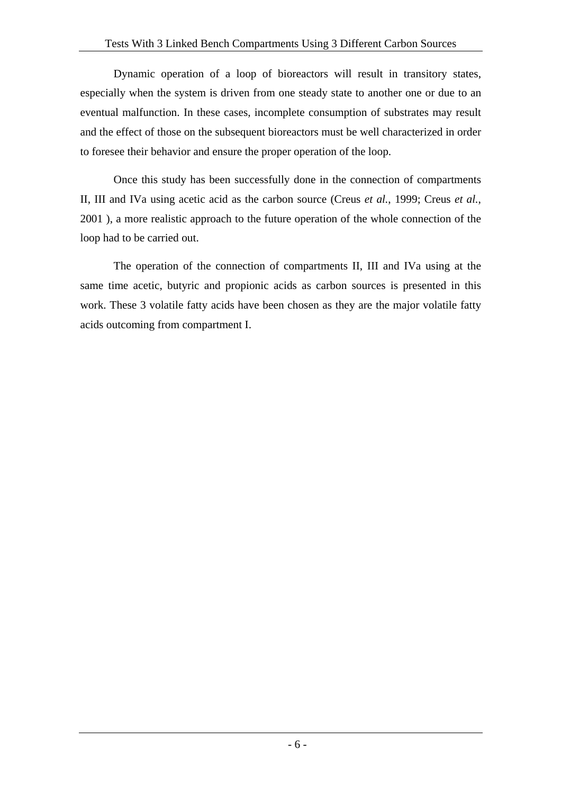Dynamic operation of a loop of bioreactors will result in transitory states, especially when the system is driven from one steady state to another one or due to an eventual malfunction. In these cases, incomplete consumption of substrates may result and the effect of those on the subsequent bioreactors must be well characterized in order to foresee their behavior and ensure the proper operation of the loop.

Once this study has been successfully done in the connection of compartments II, III and IVa using acetic acid as the carbon source (Creus *et al.*, 1999; Creus *et al.*, 2001 ), a more realistic approach to the future operation of the whole connection of the loop had to be carried out.

The operation of the connection of compartments II, III and IVa using at the same time acetic, butyric and propionic acids as carbon sources is presented in this work. These 3 volatile fatty acids have been chosen as they are the major volatile fatty acids outcoming from compartment I.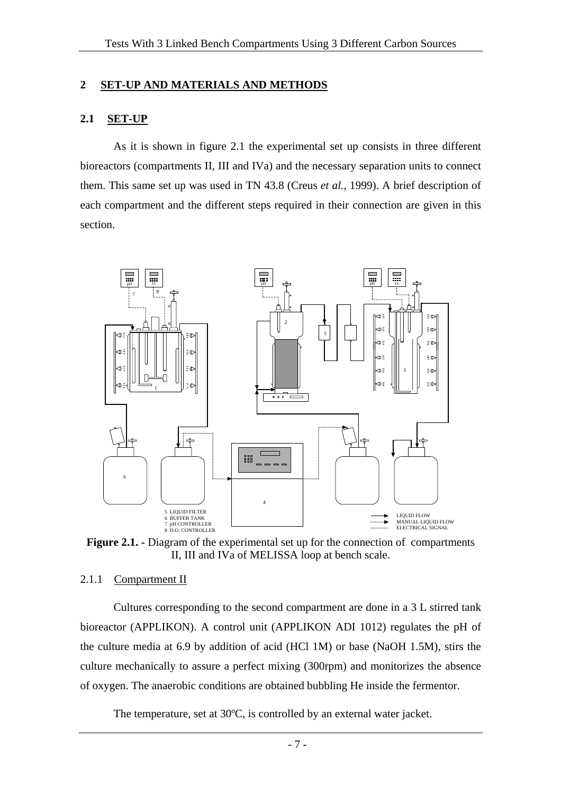#### **2 SET-UP AND MATERIALS AND METHODS**

#### **2.1 SET-UP**

As it is shown in figure 2.1 the experimental set up consists in three different bioreactors (compartments II, III and IVa) and the necessary separation units to connect them. This same set up was used in TN 43.8 (Creus *et al.*, 1999). A brief description of each compartment and the different steps required in their connection are given in this section.



**Figure 2.1. -** Diagram of the experimental set up for the connection of compartments II, III and IVa of MELISSA loop at bench scale.

#### 2.1.1 Compartment II

Cultures corresponding to the second compartment are done in a 3 L stirred tank bioreactor (APPLIKON). A control unit (APPLIKON ADI 1012) regulates the pH of the culture media at 6.9 by addition of acid (HCl 1M) or base (NaOH 1.5M), stirs the culture mechanically to assure a perfect mixing (300rpm) and monitorizes the absence of oxygen. The anaerobic conditions are obtained bubbling He inside the fermentor.

The temperature, set at 30ºC, is controlled by an external water jacket.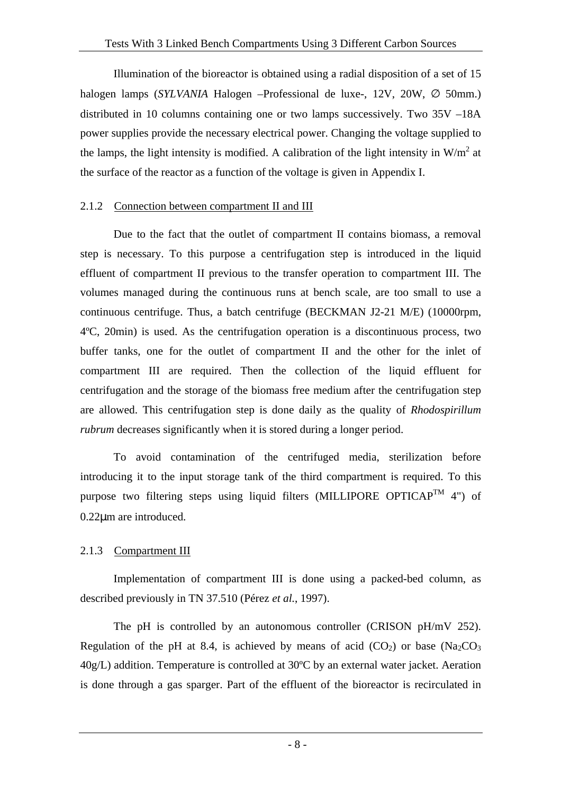Illumination of the bioreactor is obtained using a radial disposition of a set of 15 halogen lamps (*SYLVANIA* Halogen –Professional de luxe-, 12V, 20W, ∅ 50mm.) distributed in 10 columns containing one or two lamps successively. Two 35V –18A power supplies provide the necessary electrical power. Changing the voltage supplied to the lamps, the light intensity is modified. A calibration of the light intensity in  $W/m^2$  at the surface of the reactor as a function of the voltage is given in Appendix I.

#### 2.1.2 Connection between compartment II and III

Due to the fact that the outlet of compartment II contains biomass, a removal step is necessary. To this purpose a centrifugation step is introduced in the liquid effluent of compartment II previous to the transfer operation to compartment III. The volumes managed during the continuous runs at bench scale, are too small to use a continuous centrifuge. Thus, a batch centrifuge (BECKMAN J2-21 M/E) (10000rpm, 4ºC, 20min) is used. As the centrifugation operation is a discontinuous process, two buffer tanks, one for the outlet of compartment II and the other for the inlet of compartment III are required. Then the collection of the liquid effluent for centrifugation and the storage of the biomass free medium after the centrifugation step are allowed. This centrifugation step is done daily as the quality of *Rhodospirillum rubrum* decreases significantly when it is stored during a longer period.

To avoid contamination of the centrifuged media, sterilization before introducing it to the input storage tank of the third compartment is required. To this purpose two filtering steps using liquid filters (MILLIPORE OPTICAP<sup>TM</sup> 4") of 0.22µm are introduced.

#### 2.1.3 Compartment III

Implementation of compartment III is done using a packed-bed column, as described previously in TN 37.510 (Pérez *et al.*, 1997).

The pH is controlled by an autonomous controller (CRISON pH/mV 252). Regulation of the pH at 8.4, is achieved by means of acid  $(CO_2)$  or base  $(Na_2CO_3)$ 40g/L) addition. Temperature is controlled at 30ºC by an external water jacket. Aeration is done through a gas sparger. Part of the effluent of the bioreactor is recirculated in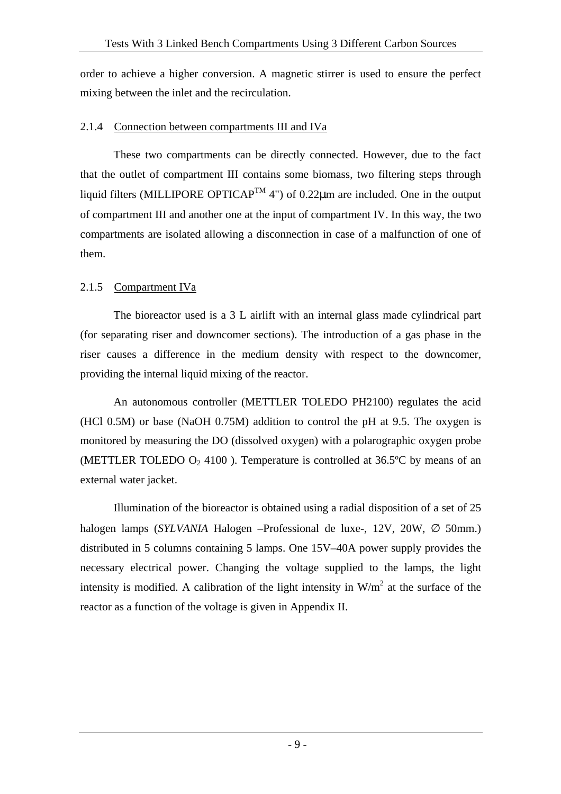order to achieve a higher conversion. A magnetic stirrer is used to ensure the perfect mixing between the inlet and the recirculation.

#### 2.1.4 Connection between compartments III and IVa

These two compartments can be directly connected. However, due to the fact that the outlet of compartment III contains some biomass, two filtering steps through liquid filters (MILLIPORE OPTICAP<sup>TM</sup> 4") of 0.22 $\mu$ m are included. One in the output of compartment III and another one at the input of compartment IV. In this way, the two compartments are isolated allowing a disconnection in case of a malfunction of one of them.

## 2.1.5 Compartment IVa

The bioreactor used is a 3 L airlift with an internal glass made cylindrical part (for separating riser and downcomer sections). The introduction of a gas phase in the riser causes a difference in the medium density with respect to the downcomer, providing the internal liquid mixing of the reactor.

An autonomous controller (METTLER TOLEDO PH2100) regulates the acid (HCl 0.5M) or base (NaOH 0.75M) addition to control the pH at 9.5. The oxygen is monitored by measuring the DO (dissolved oxygen) with a polarographic oxygen probe (METTLER TOLEDO  $O_2$  4100). Temperature is controlled at 36.5°C by means of an external water jacket.

Illumination of the bioreactor is obtained using a radial disposition of a set of 25 halogen lamps (*SYLVANIA* Halogen –Professional de luxe-, 12V, 20W, ∅ 50mm.) distributed in 5 columns containing 5 lamps. One 15V–40A power supply provides the necessary electrical power. Changing the voltage supplied to the lamps, the light intensity is modified. A calibration of the light intensity in  $W/m^2$  at the surface of the reactor as a function of the voltage is given in Appendix II.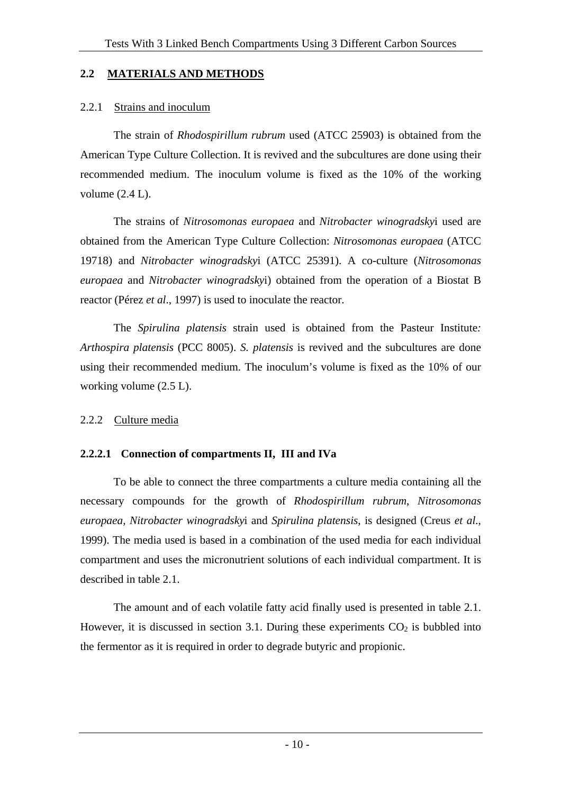#### **2.2 MATERIALS AND METHODS**

## 2.2.1 Strains and inoculum

The strain of *Rhodospirillum rubrum* used (ATCC 25903) is obtained from the American Type Culture Collection. It is revived and the subcultures are done using their recommended medium. The inoculum volume is fixed as the 10% of the working volume  $(2.4 L)$ .

The strains of *Nitrosomonas europaea* and *Nitrobacter winogradsky*i used are obtained from the American Type Culture Collection: *Nitrosomonas europaea* (ATCC 19718) and *Nitrobacter winogradsky*i (ATCC 25391). A co-culture (*Nitrosomonas europaea* and *Nitrobacter winogradsky*i) obtained from the operation of a Biostat B reactor (Pérez *et al*., 1997) is used to inoculate the reactor.

The *Spirulina platensis* strain used is obtained from the Pasteur Institute*: Arthospira platensis* (PCC 8005). *S. platensis* is revived and the subcultures are done using their recommended medium. The inoculum's volume is fixed as the 10% of our working volume (2.5 L).

## 2.2.2 Culture media

## **2.2.2.1 Connection of compartments II, III and IVa**

To be able to connect the three compartments a culture media containing all the necessary compounds for the growth of *Rhodospirillum rubrum*, *Nitrosomonas europaea, Nitrobacter winogradsky*i and *Spirulina platensis*, is designed (Creus *et al.*, 1999). The media used is based in a combination of the used media for each individual compartment and uses the micronutrient solutions of each individual compartment. It is described in table 2.1.

The amount and of each volatile fatty acid finally used is presented in table 2.1. However, it is discussed in section 3.1. During these experiments  $CO<sub>2</sub>$  is bubbled into the fermentor as it is required in order to degrade butyric and propionic.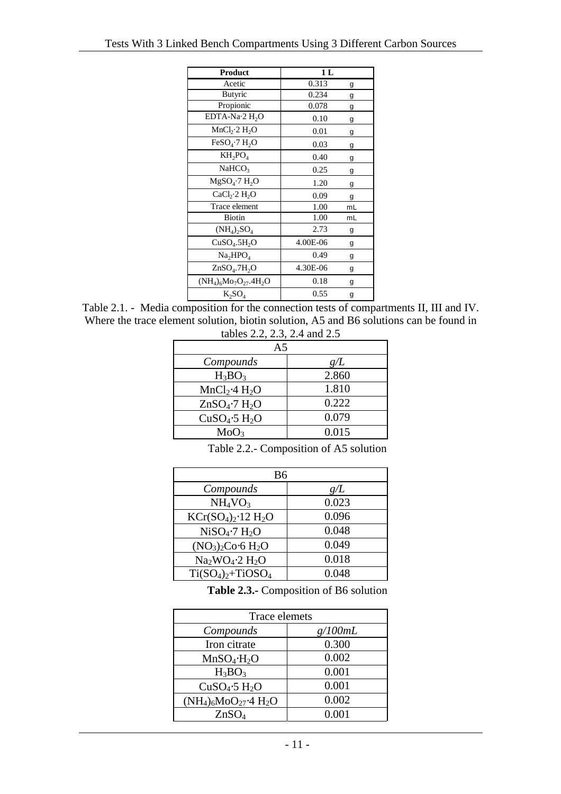| Product                               | 1 <sub>L</sub> |    |
|---------------------------------------|----------------|----|
| Acetic                                | 0.313          | g  |
| <b>Butyric</b>                        | 0.234          | g  |
| Propionic                             | 0.078          | g  |
| $EDTA-Na.2 H2O$                       | 0.10           | g  |
| MnCl <sub>2</sub> ·2 H <sub>2</sub> O | 0.01           | g  |
| FeSO <sub>4</sub> ·7 H <sub>2</sub> O | 0.03           | g  |
| $KH_2PO_4$                            | 0.40           | g  |
| NaHCO <sub>3</sub>                    | 0.25           | g  |
| MgSO <sub>4</sub> ·7 H <sub>2</sub> O | 1.20           | g  |
| CaCl <sub>2</sub> ·2 H <sub>2</sub> O | 0.09           | g  |
| Trace element                         | 1.00           | mL |
| <b>Biotin</b>                         | 1.00           | mL |
| $(NH_4)$ <sub>2</sub> SO <sub>4</sub> | 2.73           | g  |
| CuSO <sub>4</sub> .5H <sub>2</sub> O  | 4.00E-06       | g  |
| Na <sub>2</sub> HPO <sub>4</sub>      | 0.49           | g  |
| $ZnSO4$ .7H <sub>2</sub> O            | 4.30E-06       | g  |
| $(NH_4)_{6}Mo_{7}O_{27}.4H_{2}O$      | 0.18           | g  |
| $K_2SO_4$                             | 0.55           | g  |

Table 2.1. - Media composition for the connection tests of compartments II, III and IV. Where the trace element solution, biotin solution, A5 and B6 solutions can be found in tables 2.2, 2.3, 2.4 and 2.5

| $\frac{1}{2}$                         |       |  |  |  |
|---------------------------------------|-------|--|--|--|
| A <sub>5</sub>                        |       |  |  |  |
| Compounds                             | g/L   |  |  |  |
| $H_3BO_3$                             | 2.860 |  |  |  |
| MnCl <sub>2</sub> ·4 H <sub>2</sub> O | 1.810 |  |  |  |
| $ZnSO_4$ -7 $H_2O$                    | 0.222 |  |  |  |
| CuSO <sub>4</sub> ·5 H <sub>2</sub> O | 0.079 |  |  |  |
| MoO <sub>3</sub>                      | 0.015 |  |  |  |
|                                       |       |  |  |  |

Table 2.2.- Composition of A5 solution

| B6                                    |       |  |  |  |
|---------------------------------------|-------|--|--|--|
| Compounds                             | g/L   |  |  |  |
| NH <sub>4</sub> VO <sub>3</sub>       | 0.023 |  |  |  |
| $KCr(SO4)2·12 H2O$                    | 0.096 |  |  |  |
| NiSO <sub>4</sub> ·7 H <sub>2</sub> O | 0.048 |  |  |  |
| $(NO_3)_2Co·6H_2O$                    | 0.049 |  |  |  |
| $Na2WO4·2 H2O$                        | 0.018 |  |  |  |
| $Ti(SO4)2+TiOSO4$                     | 0.048 |  |  |  |

**Table 2.3.-** Composition of B6 solution

| Trace elemets                         |         |  |  |  |
|---------------------------------------|---------|--|--|--|
| Compounds                             | g/100mL |  |  |  |
| Iron citrate                          | 0.300   |  |  |  |
| $MnSO_4 \cdot H_2O$                   | 0.002   |  |  |  |
| $H_3BO_3$                             | 0.001   |  |  |  |
| CuSO <sub>4</sub> ·5 H <sub>2</sub> O | 0.001   |  |  |  |
| $(NH_4)_6MO_{27}$ + H <sub>2</sub> O  | 0.002   |  |  |  |
| ZnSO <sub>4</sub>                     | 0.001   |  |  |  |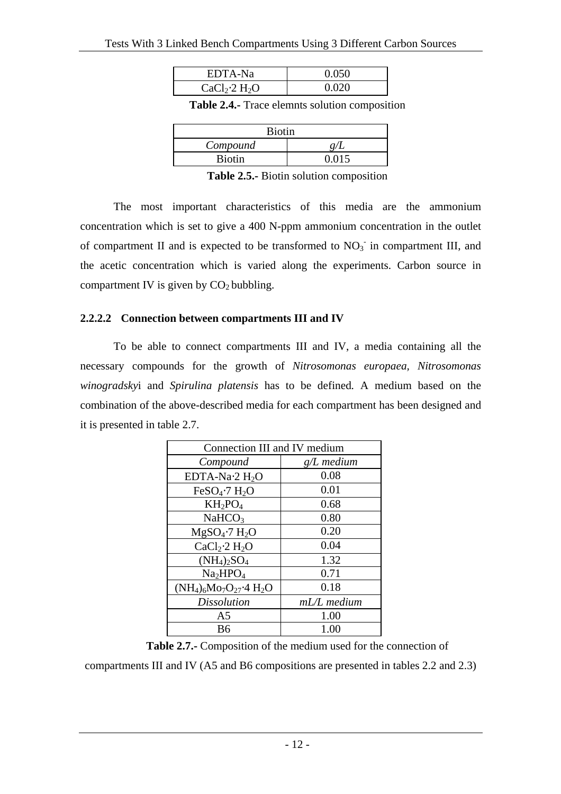| EDTA-Na                               | 0.050 |
|---------------------------------------|-------|
| CaCl <sub>2</sub> ·2 H <sub>2</sub> O | Ი ᲘᲔᲘ |

**Table 2.4.-** Trace elemnts solution composition

| Biotin   |  |  |  |
|----------|--|--|--|
| Compound |  |  |  |
| Biotin   |  |  |  |
|          |  |  |  |

**Table 2.5.-** Biotin solution composition

The most important characteristics of this media are the ammonium concentration which is set to give a 400 N-ppm ammonium concentration in the outlet of compartment II and is expected to be transformed to  $NO<sub>3</sub>$  in compartment III, and the acetic concentration which is varied along the experiments. Carbon source in compartment IV is given by  $CO<sub>2</sub>$  bubbling.

#### **2.2.2.2 Connection between compartments III and IV**

To be able to connect compartments III and IV, a media containing all the necessary compounds for the growth of *Nitrosomonas europaea, Nitrosomonas winogradsky*i and *Spirulina platensis* has to be defined*.* A medium based on the combination of the above-described media for each compartment has been designed and it is presented in table 2.7.

| Connection III and IV medium          |               |  |  |  |
|---------------------------------------|---------------|--|--|--|
| Compound                              | $g/L$ medium  |  |  |  |
| EDTA-Na $\cdot$ 2 H <sub>2</sub> O    | 0.08          |  |  |  |
| FeSO <sub>4</sub> ·7 H <sub>2</sub> O | 0.01          |  |  |  |
| $KH_2PO_4$                            | 0.68          |  |  |  |
| NaHCO <sub>3</sub>                    | 0.80          |  |  |  |
| $MgSO_4$ -7 $H_2O$                    | 0.20          |  |  |  |
| CaCl <sub>2</sub> ·2 H <sub>2</sub> O | 0.04          |  |  |  |
| $(NH_4)_2SO_4$                        | 1.32          |  |  |  |
| Na <sub>2</sub> HPO <sub>4</sub>      | 0.71          |  |  |  |
| $(NH_4)_{6}Mo_{7}O_{27}$ -4 $H_2O$    | 0.18          |  |  |  |
| <b>Dissolution</b>                    | $mL/L$ medium |  |  |  |
| A5                                    | 1.00          |  |  |  |
| B6                                    | 1.00          |  |  |  |

**Table 2.7.-** Composition of the medium used for the connection of

compartments III and IV (A5 and B6 compositions are presented in tables 2.2 and 2.3)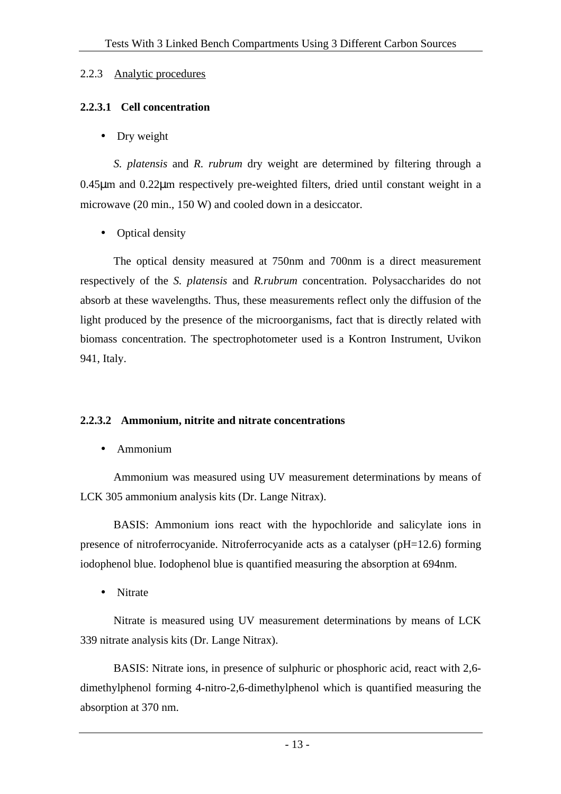#### 2.2.3 Analytic procedures

#### **2.2.3.1 Cell concentration**

• Dry weight

*S. platensis* and *R. rubrum* dry weight are determined by filtering through a 0.45µm and 0.22µm respectively pre-weighted filters, dried until constant weight in a microwave (20 min., 150 W) and cooled down in a desiccator.

• Optical density

The optical density measured at 750nm and 700nm is a direct measurement respectively of the *S. platensis* and *R.rubrum* concentration. Polysaccharides do not absorb at these wavelengths. Thus, these measurements reflect only the diffusion of the light produced by the presence of the microorganisms, fact that is directly related with biomass concentration. The spectrophotometer used is a Kontron Instrument, Uvikon 941, Italy.

#### **2.2.3.2 Ammonium, nitrite and nitrate concentrations**

• Ammonium

Ammonium was measured using UV measurement determinations by means of LCK 305 ammonium analysis kits (Dr. Lange Nitrax).

BASIS: Ammonium ions react with the hypochloride and salicylate ions in presence of nitroferrocyanide. Nitroferrocyanide acts as a catalyser (pH=12.6) forming iodophenol blue. Iodophenol blue is quantified measuring the absorption at 694nm.

• Nitrate

Nitrate is measured using UV measurement determinations by means of LCK 339 nitrate analysis kits (Dr. Lange Nitrax).

BASIS: Nitrate ions, in presence of sulphuric or phosphoric acid, react with 2,6 dimethylphenol forming 4-nitro-2,6-dimethylphenol which is quantified measuring the absorption at 370 nm.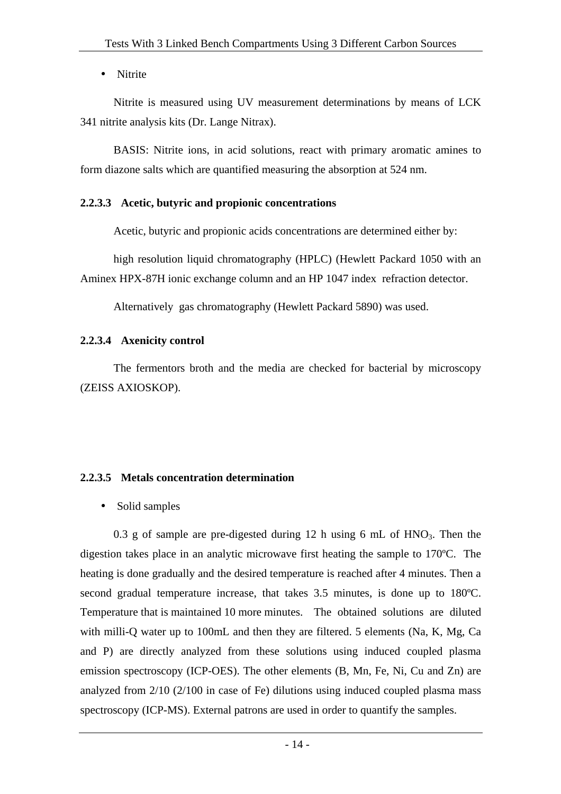• Nitrite

Nitrite is measured using UV measurement determinations by means of LCK 341 nitrite analysis kits (Dr. Lange Nitrax).

BASIS: Nitrite ions, in acid solutions, react with primary aromatic amines to form diazone salts which are quantified measuring the absorption at 524 nm.

## **2.2.3.3 Acetic, butyric and propionic concentrations**

Acetic, butyric and propionic acids concentrations are determined either by:

high resolution liquid chromatography (HPLC) (Hewlett Packard 1050 with an Aminex HPX-87H ionic exchange column and an HP 1047 index refraction detector.

Alternatively gas chromatography (Hewlett Packard 5890) was used.

## **2.2.3.4 Axenicity control**

The fermentors broth and the media are checked for bacterial by microscopy (ZEISS AXIOSKOP).

## **2.2.3.5 Metals concentration determination**

• Solid samples

0.3 g of sample are pre-digested during 12 h using 6 mL of  $HNO_3$ . Then the digestion takes place in an analytic microwave first heating the sample to 170ºC. The heating is done gradually and the desired temperature is reached after 4 minutes. Then a second gradual temperature increase, that takes 3.5 minutes, is done up to 180ºC. Temperature that is maintained 10 more minutes. The obtained solutions are diluted with milli-Q water up to 100mL and then they are filtered. 5 elements (Na, K, Mg, Ca and P) are directly analyzed from these solutions using induced coupled plasma emission spectroscopy (ICP-OES). The other elements (B, Mn, Fe, Ni, Cu and Zn) are analyzed from 2/10 (2/100 in case of Fe) dilutions using induced coupled plasma mass spectroscopy (ICP-MS). External patrons are used in order to quantify the samples.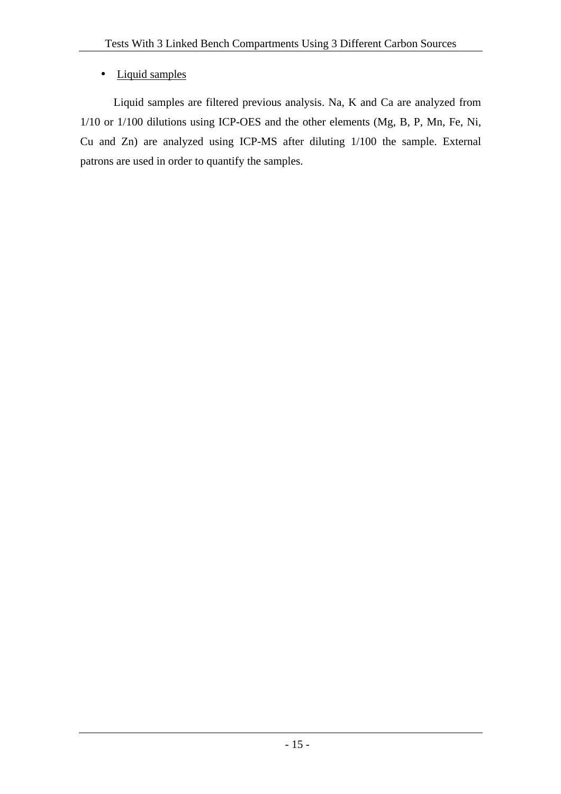## • Liquid samples

Liquid samples are filtered previous analysis. Na, K and Ca are analyzed from 1/10 or 1/100 dilutions using ICP-OES and the other elements (Mg, B, P, Mn, Fe, Ni, Cu and Zn) are analyzed using ICP-MS after diluting 1/100 the sample. External patrons are used in order to quantify the samples.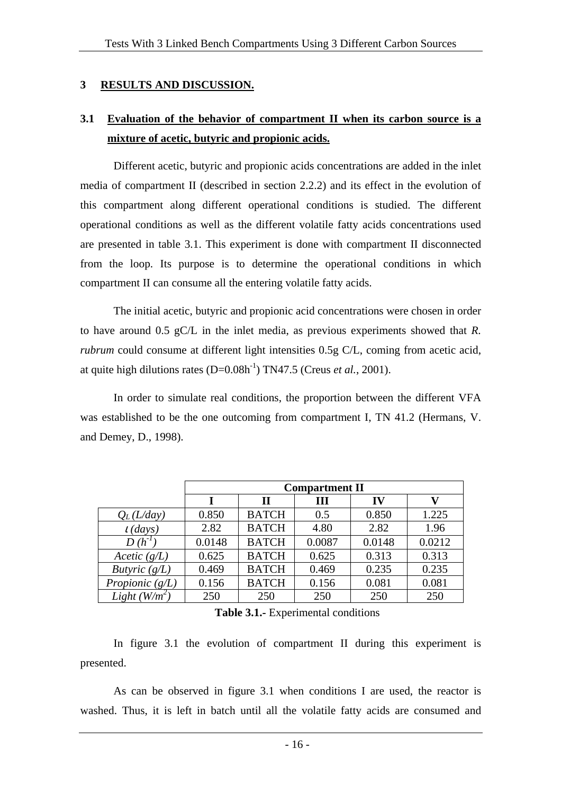#### **3 RESULTS AND DISCUSSION.**

## **3.1 Evaluation of the behavior of compartment II when its carbon source is a mixture of acetic, butyric and propionic acids.**

Different acetic, butyric and propionic acids concentrations are added in the inlet media of compartment II (described in section 2.2.2) and its effect in the evolution of this compartment along different operational conditions is studied. The different operational conditions as well as the different volatile fatty acids concentrations used are presented in table 3.1. This experiment is done with compartment II disconnected from the loop. Its purpose is to determine the operational conditions in which compartment II can consume all the entering volatile fatty acids.

The initial acetic, butyric and propionic acid concentrations were chosen in order to have around 0.5 gC/L in the inlet media, as previous experiments showed that *R. rubrum* could consume at different light intensities 0.5g C/L, coming from acetic acid, at quite high dilutions rates  $(D=0.08h^{-1})$  TN47.5 (Creus *et al.*, 2001).

In order to simulate real conditions, the proportion between the different VFA was established to be the one outcoming from compartment I, TN 41.2 (Hermans, V. and Demey, D., 1998).

|                   | <b>Compartment II</b> |              |        |        |        |
|-------------------|-----------------------|--------------|--------|--------|--------|
|                   |                       | $\mathbf H$  | Ш      | IV     |        |
| $Q_L(L/day)$      | 0.850                 | <b>BATCH</b> | 0.5    | 0.850  | 1.225  |
| $t$ (days)        | 2.82                  | <b>BATCH</b> | 4.80   | 2.82   | 1.96   |
| $D(h^{-1})$       | 0.0148                | <b>BATCH</b> | 0.0087 | 0.0148 | 0.0212 |
| Acetic $(g/L)$    | 0.625                 | <b>BATCH</b> | 0.625  | 0.313  | 0.313  |
| Butyric $(g/L)$   | 0.469                 | <b>BATCH</b> | 0.469  | 0.235  | 0.235  |
| Propionic $(g/L)$ | 0.156                 | <b>BATCH</b> | 0.156  | 0.081  | 0.081  |
| Light $(W/m^2)$   | 250                   | 250          | 250    | 250    | 250    |

**Table 3.1.-** Experimental conditions

In figure 3.1 the evolution of compartment II during this experiment is presented.

As can be observed in figure 3.1 when conditions I are used, the reactor is washed. Thus, it is left in batch until all the volatile fatty acids are consumed and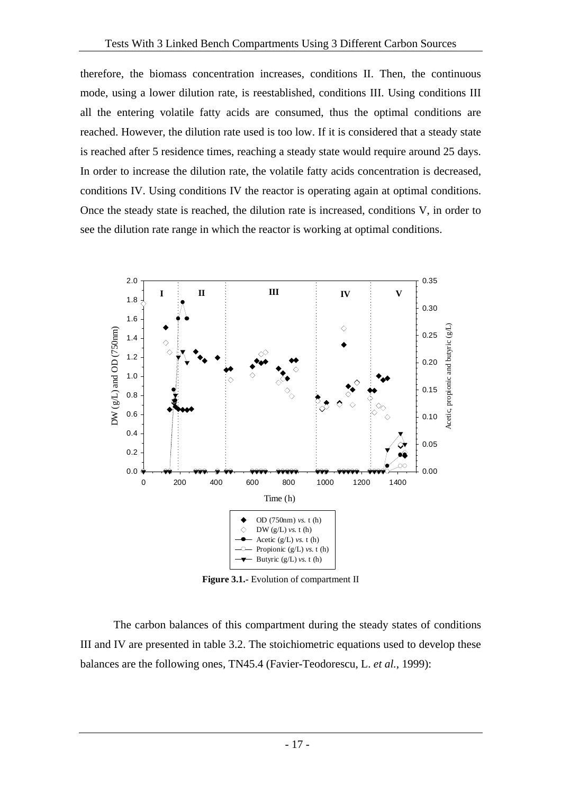therefore, the biomass concentration increases, conditions II. Then, the continuous mode, using a lower dilution rate, is reestablished, conditions III. Using conditions III all the entering volatile fatty acids are consumed, thus the optimal conditions are reached. However, the dilution rate used is too low. If it is considered that a steady state is reached after 5 residence times, reaching a steady state would require around 25 days. In order to increase the dilution rate, the volatile fatty acids concentration is decreased, conditions IV. Using conditions IV the reactor is operating again at optimal conditions. Once the steady state is reached, the dilution rate is increased, conditions V, in order to see the dilution rate range in which the reactor is working at optimal conditions.



**Figure 3.1.-** Evolution of compartment II

The carbon balances of this compartment during the steady states of conditions III and IV are presented in table 3.2. The stoichiometric equations used to develop these balances are the following ones, TN45.4 (Favier-Teodorescu, L. *et al.*, 1999):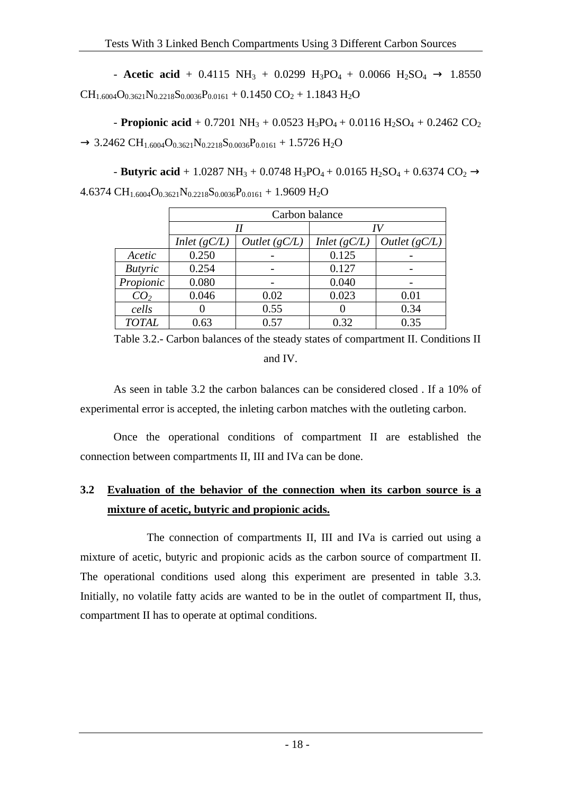- **Acetic acid** + 0.4115 NH<sub>3</sub> + 0.0299 H<sub>3</sub>PO<sub>4</sub> + 0.0066 H<sub>2</sub>SO<sub>4</sub>  $\rightarrow$  1.8550  $CH_{1.6004}O_{0.3621}N_{0.2218}S_{0.0036}P_{0.0161} + 0.1450 CO_2 + 1.1843 H_2O$ 

- **Propionic acid** + 0.7201 NH<sub>3</sub> + 0.0523 H<sub>3</sub>PO<sub>4</sub> + 0.0116 H<sub>2</sub>SO<sub>4</sub> + 0.2462 CO<sub>2</sub>  $\rightarrow$  3.2462 CH<sub>1.6004</sub>O<sub>0.3621</sub>N<sub>0.2218</sub>S<sub>0.0036</sub>P<sub>0.0161</sub> + 1.5726 H<sub>2</sub>O

- **Butyric acid** + 1.0287 NH<sub>3</sub> + 0.0748 H<sub>3</sub>PO<sub>4</sub> + 0.0165 H<sub>2</sub>SO<sub>4</sub> + 0.6374 CO<sub>2</sub>  $\rightarrow$ 4.6374 CH<sub>1.6004</sub>O<sub>0.3621</sub>N<sub>0.2218</sub>S<sub>0.0036</sub>P<sub>0.0161</sub> + 1.9609 H<sub>2</sub>O

|                 | Carbon balance |                 |                |                 |  |
|-----------------|----------------|-----------------|----------------|-----------------|--|
|                 |                |                 | IV             |                 |  |
|                 | Inlet $(gC/L)$ | Outlet $(gC/L)$ | Inlet $(gC/L)$ | Outlet $(gC/L)$ |  |
| Acetic          | 0.250          |                 | 0.125          |                 |  |
| <b>Butyric</b>  | 0.254          |                 | 0.127          |                 |  |
| Propionic       | 0.080          |                 | 0.040          |                 |  |
| CO <sub>2</sub> | 0.046          | 0.02            | 0.023          | 0.01            |  |
| cells           |                | 0.55            |                | 0.34            |  |
| <b>TOTAL</b>    | 0.63           | 0.57            | 0.32           | 0.35            |  |

Table 3.2.- Carbon balances of the steady states of compartment II. Conditions II and IV.

As seen in table 3.2 the carbon balances can be considered closed . If a 10% of experimental error is accepted, the inleting carbon matches with the outleting carbon.

Once the operational conditions of compartment II are established the connection between compartments II, III and IVa can be done.

## **3.2 Evaluation of the behavior of the connection when its carbon source is a mixture of acetic, butyric and propionic acids.**

 The connection of compartments II, III and IVa is carried out using a mixture of acetic, butyric and propionic acids as the carbon source of compartment II. The operational conditions used along this experiment are presented in table 3.3. Initially, no volatile fatty acids are wanted to be in the outlet of compartment II, thus, compartment II has to operate at optimal conditions.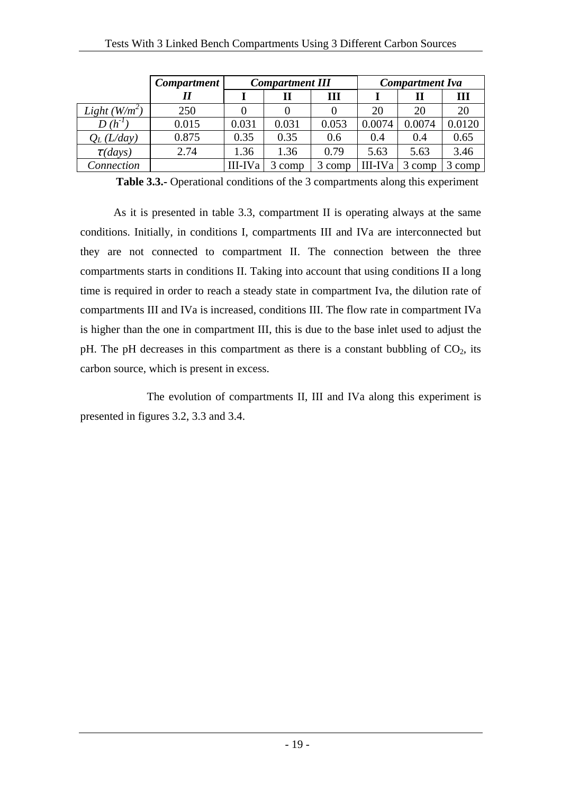|                 | <b>Compartment</b> |         | <b>Compartment III</b> |        |         | <b>Compartment Iva</b> |        |
|-----------------|--------------------|---------|------------------------|--------|---------|------------------------|--------|
|                 |                    |         |                        | Ш      |         |                        | Ш      |
| Light $(W/m^2)$ | 250                |         |                        |        | 20      | 20                     | 20     |
| $D(h^{-1})$     | 0.015              | 0.031   | 0.031                  | 0.053  | 0.0074  | 0.0074                 | 0.0120 |
| $Q_L(L/day)$    | 0.875              | 0.35    | 0.35                   | 0.6    | 0.4     | 0.4                    | 0.65   |
| $\tau$ (days)   | 2.74               | 1.36    | 1.36                   | 0.79   | 5.63    | 5.63                   | 3.46   |
| Connection      |                    | III-IVa | 3 comp                 | 3 comp | III-IVa | 3 comp                 | 3 comp |

**Table 3.3.-** Operational conditions of the 3 compartments along this experiment

As it is presented in table 3.3, compartment II is operating always at the same conditions. Initially, in conditions I, compartments III and IVa are interconnected but they are not connected to compartment II. The connection between the three compartments starts in conditions II. Taking into account that using conditions II a long time is required in order to reach a steady state in compartment Iva, the dilution rate of compartments III and IVa is increased, conditions III. The flow rate in compartment IVa is higher than the one in compartment III, this is due to the base inlet used to adjust the pH. The pH decreases in this compartment as there is a constant bubbling of  $CO<sub>2</sub>$ , its carbon source, which is present in excess.

 The evolution of compartments II, III and IVa along this experiment is presented in figures 3.2, 3.3 and 3.4.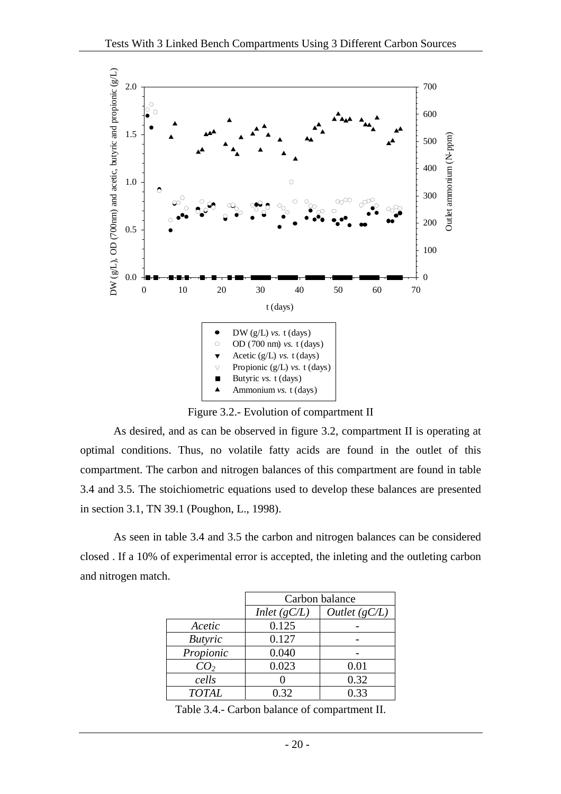

Figure 3.2.- Evolution of compartment II

As desired, and as can be observed in figure 3.2, compartment II is operating at optimal conditions. Thus, no volatile fatty acids are found in the outlet of this compartment. The carbon and nitrogen balances of this compartment are found in table 3.4 and 3.5. The stoichiometric equations used to develop these balances are presented in section 3.1, TN 39.1 (Poughon, L., 1998).

As seen in table 3.4 and 3.5 the carbon and nitrogen balances can be considered closed . If a 10% of experimental error is accepted, the inleting and the outleting carbon and nitrogen match.

|                 |                | Carbon balance |
|-----------------|----------------|----------------|
|                 | Inlet $(gC/L)$ | Outlet(gC/L)   |
| Acetic          | 0.125          |                |
| <b>Butyric</b>  | 0.127          |                |
| Propionic       | 0.040          |                |
| CO <sub>2</sub> | 0.023          | 0.01           |
| cells           |                | 0.32           |
| <b>TOTAL</b>    | 0.32           | 0.33           |

Table 3.4.- Carbon balance of compartment II.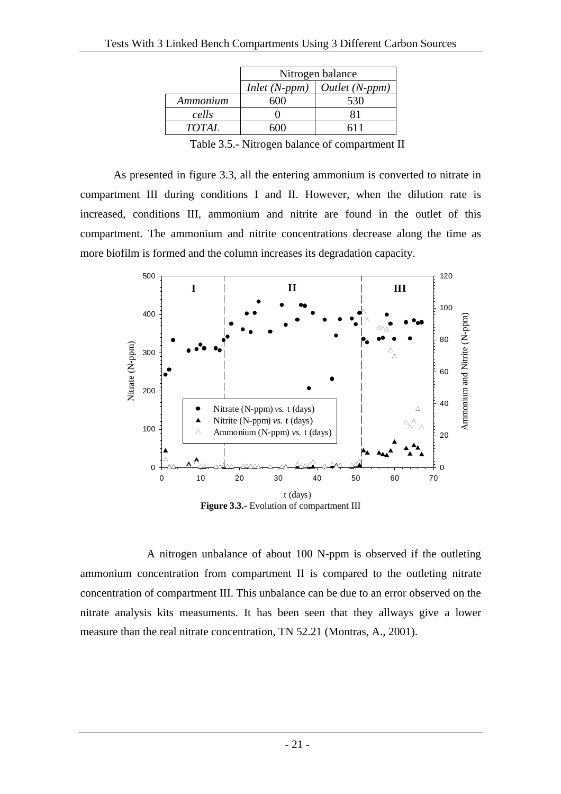|              |                 | Nitrogen balance |
|--------------|-----------------|------------------|
|              | $Inlet (N-ppm)$ | Outlet (N-ppm)   |
| Ammonium     | 600             | 530              |
| cells        |                 |                  |
| <b>TOTAL</b> | 50 N N          |                  |

Table 3.5.- Nitrogen balance of compartment II

As presented in figure 3.3, all the entering ammonium is converted to nitrate in compartment III during conditions I and II. However, when the dilution rate is increased, conditions III, ammonium and nitrite are found in the outlet of this compartment. The ammonium and nitrite concentrations decrease along the time as more biofilm is formed and the column increases its degradation capacity.



A nitrogen unbalance of about 100 N-ppm is observed if the outleting ammonium concentration from compartment II is compared to the outleting nitrate concentration of compartment III. This unbalance can be due to an error observed on the nitrate analysis kits measuments. It has been seen that they allways give a lower measure than the real nitrate concentration, TN 52.21 (Montras, A., 2001).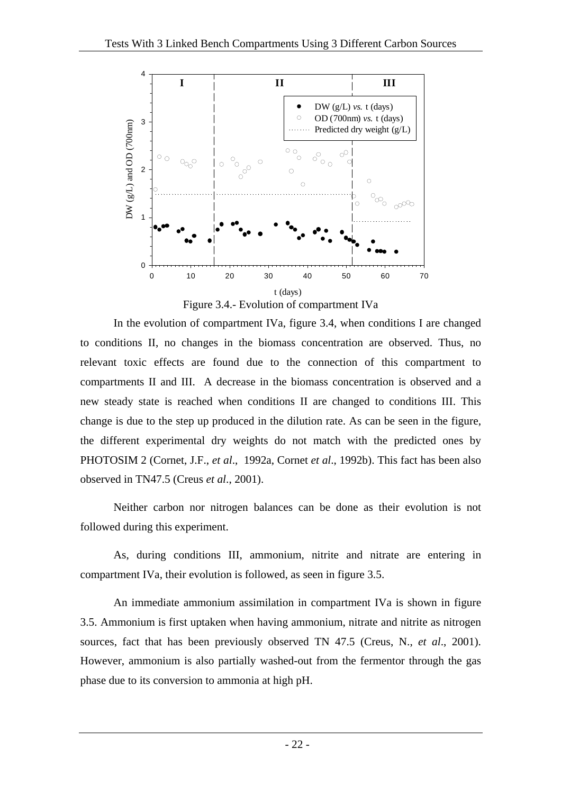

Figure 3.4.- Evolution of compartment IVa

In the evolution of compartment IVa, figure 3.4, when conditions I are changed to conditions II, no changes in the biomass concentration are observed. Thus, no relevant toxic effects are found due to the connection of this compartment to compartments II and III. A decrease in the biomass concentration is observed and a new steady state is reached when conditions II are changed to conditions III. This change is due to the step up produced in the dilution rate. As can be seen in the figure, the different experimental dry weights do not match with the predicted ones by PHOTOSIM 2 (Cornet, J.F., *et al*., 1992a, Cornet *et al*., 1992b). This fact has been also observed in TN47.5 (Creus *et al*., 2001).

Neither carbon nor nitrogen balances can be done as their evolution is not followed during this experiment.

As, during conditions III, ammonium, nitrite and nitrate are entering in compartment IVa, their evolution is followed, as seen in figure 3.5.

An immediate ammonium assimilation in compartment IVa is shown in figure 3.5. Ammonium is first uptaken when having ammonium, nitrate and nitrite as nitrogen sources, fact that has been previously observed TN 47.5 (Creus, N., *et al*., 2001). However, ammonium is also partially washed-out from the fermentor through the gas phase due to its conversion to ammonia at high pH.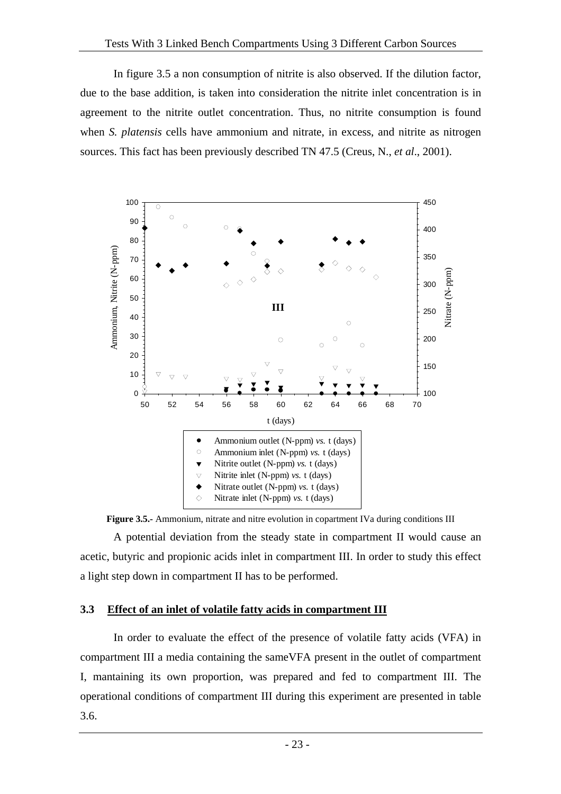In figure 3.5 a non consumption of nitrite is also observed. If the dilution factor, due to the base addition, is taken into consideration the nitrite inlet concentration is in agreement to the nitrite outlet concentration. Thus, no nitrite consumption is found when *S. platensis* cells have ammonium and nitrate, in excess, and nitrite as nitrogen sources. This fact has been previously described TN 47.5 (Creus, N., *et al*., 2001).



**Figure 3.5.-** Ammonium, nitrate and nitre evolution in copartment IVa during conditions III

A potential deviation from the steady state in compartment II would cause an acetic, butyric and propionic acids inlet in compartment III. In order to study this effect a light step down in compartment II has to be performed.

#### **3.3 Effect of an inlet of volatile fatty acids in compartment III**

In order to evaluate the effect of the presence of volatile fatty acids (VFA) in compartment III a media containing the sameVFA present in the outlet of compartment I, mantaining its own proportion, was prepared and fed to compartment III. The operational conditions of compartment III during this experiment are presented in table 3.6.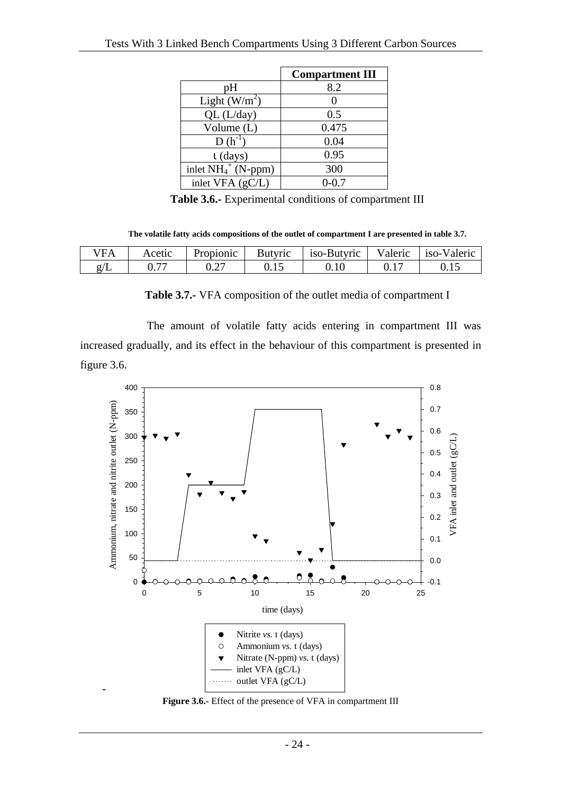|                        | <b>Compartment III</b> |
|------------------------|------------------------|
| рH                     | 8.2                    |
| Light $(W/m^2)$        |                        |
| QL (L/day)             | 0.5                    |
| Volume (L)             | 0.475                  |
| $D(h^{-1})$            | 0.04                   |
| $\iota$ (days)         | 0.95                   |
| inlet $NH_4^+$ (N-ppm) | 300                    |
| inlet VFA (gC/L)       | $0 - 0.7$              |

**Table 3.6.-** Experimental conditions of compartment III

**The volatile fatty acids compositions of the outlet of compartment I are presented in table 3.7.** 

| Έ | Acetic                   | Propionic | Butyric | 180-Butyric | Valeric | 180 Valeric |
|---|--------------------------|-----------|---------|-------------|---------|-------------|
|   | $\overline{\phantom{a}}$ | ◡.∠       | ∪.⊥J    | v. 1 v      | v.i     | .           |

**Table 3.7.-** VFA composition of the outlet media of compartment I

 The amount of volatile fatty acids entering in compartment III was increased gradually, and its effect in the behaviour of this compartment is presented in figure 3.6.



**Figure 3.6.-** Effect of the presence of VFA in compartment III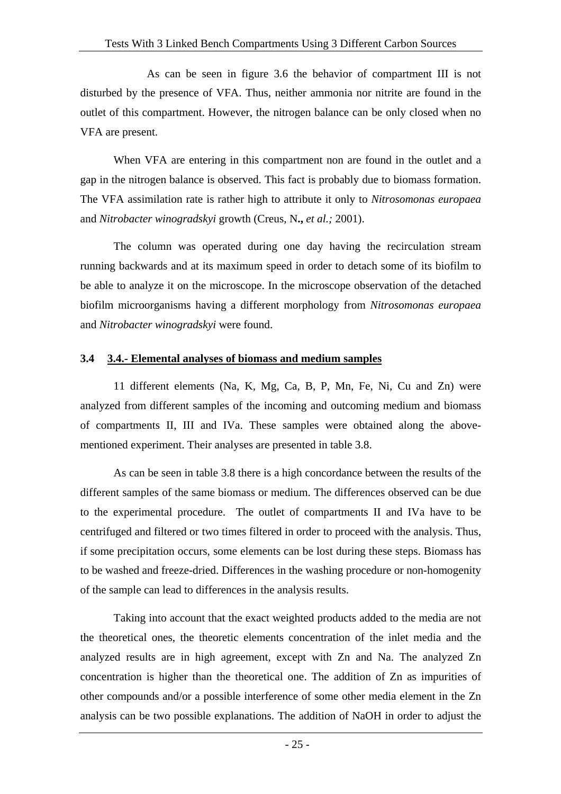As can be seen in figure 3.6 the behavior of compartment III is not disturbed by the presence of VFA. Thus, neither ammonia nor nitrite are found in the outlet of this compartment. However, the nitrogen balance can be only closed when no VFA are present.

When VFA are entering in this compartment non are found in the outlet and a gap in the nitrogen balance is observed. This fact is probably due to biomass formation. The VFA assimilation rate is rather high to attribute it only to *Nitrosomonas europaea* and *Nitrobacter winogradskyi* growth (Creus, N**.,** *et al.;* 2001).

The column was operated during one day having the recirculation stream running backwards and at its maximum speed in order to detach some of its biofilm to be able to analyze it on the microscope. In the microscope observation of the detached biofilm microorganisms having a different morphology from *Nitrosomonas europaea* and *Nitrobacter winogradskyi* were found.

#### **3.4 3.4.- Elemental analyses of biomass and medium samples**

11 different elements (Na, K, Mg, Ca, B, P, Mn, Fe, Ni, Cu and Zn) were analyzed from different samples of the incoming and outcoming medium and biomass of compartments II, III and IVa. These samples were obtained along the abovementioned experiment. Their analyses are presented in table 3.8.

As can be seen in table 3.8 there is a high concordance between the results of the different samples of the same biomass or medium. The differences observed can be due to the experimental procedure. The outlet of compartments II and IVa have to be centrifuged and filtered or two times filtered in order to proceed with the analysis. Thus, if some precipitation occurs, some elements can be lost during these steps. Biomass has to be washed and freeze-dried. Differences in the washing procedure or non-homogenity of the sample can lead to differences in the analysis results.

Taking into account that the exact weighted products added to the media are not the theoretical ones, the theoretic elements concentration of the inlet media and the analyzed results are in high agreement, except with Zn and Na. The analyzed Zn concentration is higher than the theoretical one. The addition of Zn as impurities of other compounds and/or a possible interference of some other media element in the Zn analysis can be two possible explanations. The addition of NaOH in order to adjust the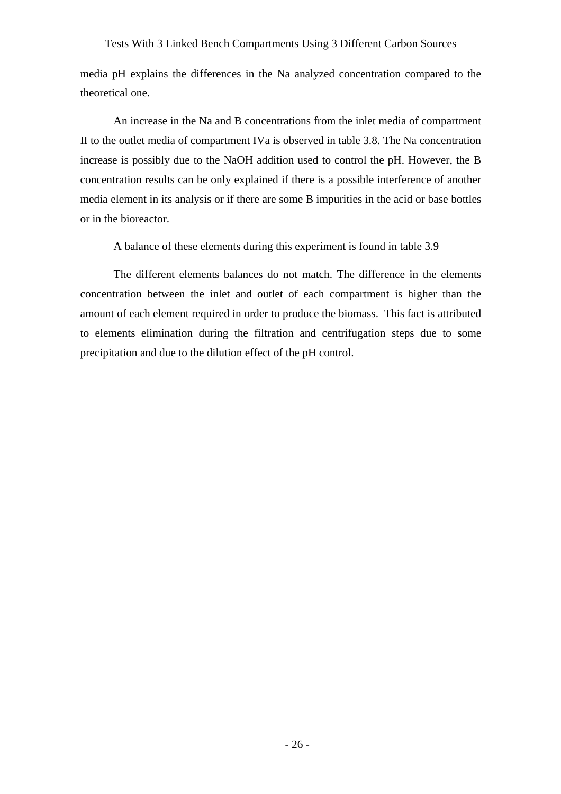media pH explains the differences in the Na analyzed concentration compared to the theoretical one.

An increase in the Na and B concentrations from the inlet media of compartment II to the outlet media of compartment IVa is observed in table 3.8. The Na concentration increase is possibly due to the NaOH addition used to control the pH. However, the B concentration results can be only explained if there is a possible interference of another media element in its analysis or if there are some B impurities in the acid or base bottles or in the bioreactor.

A balance of these elements during this experiment is found in table 3.9

The different elements balances do not match. The difference in the elements concentration between the inlet and outlet of each compartment is higher than the amount of each element required in order to produce the biomass. This fact is attributed to elements elimination during the filtration and centrifugation steps due to some precipitation and due to the dilution effect of the pH control.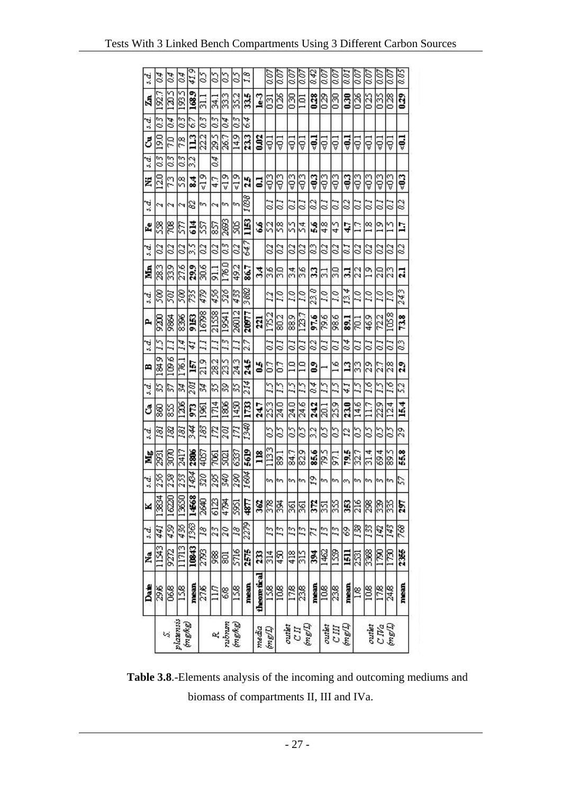|                | Date          | <b>Ma</b>     | s.d.           | ×     | s.d. | Mg             | s.d. | ి    | s.d. | m             | s.d.            | д     | s.d.        | á              | 5. d.          | Ěe             | s.d.            | Ż             | s.d.       | రే               | 3. d.            | Ą      | s.d.          |
|----------------|---------------|---------------|----------------|-------|------|----------------|------|------|------|---------------|-----------------|-------|-------------|----------------|----------------|----------------|-----------------|---------------|------------|------------------|------------------|--------|---------------|
|                | 396           | 1543          | 441            | 13834 | 356  | 2931           | 181  | 8    | 35   | o۱<br>i si    | 25              | 5200  | S®          | 28.3           | $\overline{c}$ | 8              | c٩              | S             | 03         | 3                | $\overline{0.3}$ | 192.7  | 94            |
| 磅              | 06.8          | 9272          | 459            | 16220 | 28   | 3070           | 182  | 85   | 57   | 109.6         | T,              | 9864  | Z           | 339            | 23             | E              | c٩              | 73            | 0.3        | 20               | 94               | 1205   | 90            |
| plaunsis       | 158           | 11713         | 436            | 13650 | 253  | 2417           | g    | 1206 | 34   | 176.1         | Ì4              | 836   | Sœ          | 27.6           | 3              | g              | ¢٩              | $\frac{8}{2}$ | $\alpha$ 3 | 7.8              | $\frac{3}{2}$    | 1935   | 94            |
| (asaw)         | mean          | 10843         | 1363           | 1468  | 1434 | 2806           | 344  | g    | 201  | 5             | 41              | 9153  | X           | 29.9           | s.             | 614            | 2               | 24            | 32         | $\mathbf{u}$     | 67               | 168.9  | 41,9          |
|                | 27.6          | 2793          | $\overline{3}$ | 2640  | 320  | 4057           | 183  | 1961 | 34   | 21.9          | ă               | 16798 | 479         | 30.6           | $\overline{c}$ | S              | m               | $\frac{9}{5}$ |            | 22.2             | ನ<br>03          |        | 25            |
| 码              | ZЦ            | 88            | 23             | 6123  | 295  | 7061           | n    | 1714 | 35   | 28.2          | T.              | 21558 | 456         | $\overline{5}$ | 3              | 25             | ċ٩              | 47            | 94         | 29.5             | z.<br>0.3        |        | S             |
| nshan          | 88            | 5             | 20             | 成中    | 340  | 5021           | 201  | 1806 | 29   | 23.5          | 13              | 19541 | 526         | 176.0          | 3              | 2693           | m               | $\frac{3}{2}$ |            | 26.7             | S<br>94          |        | S             |
| (mgkg)         | <b>SSI</b>    | 5716          | $\mathcal{E}$  | 5951  | 290  | 6337           | 171  | 1450 | 35   | 24.3          | Ξ               | 28012 | 433         | 49.2           | 23             | g              | m               | $\approx 19$  |            | 14.9             | 03               | 352    | S             |
|                | mean          | 2575          | 2279           | 4877  | 1604 | 5619           | 1340 | 1733 | 214  | 245           | v,<br>۵ý        | 20077 | 3882        | 86.7           | 647            | 1153           | 1038            | ă             |            | 233              | 64               | 335    | 1.8           |
| media          | theoretical   | g             |                | 362   |      | m              |      | 24.7 |      | 50            |                 | ត     |             | 34             |                | 56             |                 | 3             |            | 0.02             |                  | $1e-3$ |               |
| (I/Bu)         | 158           | $\frac{4}{3}$ | 13             | E     | ø    | 1133           | S    | 253  | 25   | ៊             | 3               | 1752  | 23          | 8s             | 3              | S              | J               | Į             |            | ą                | ឨ                |        | 0.07          |
|                | 108           | Ş             | 13             | 鬲     | m    | $\overline{5}$ | S    | 24.0 | 51   | ៊             | 3               | 80.2  | Z           | 8              | 3              | $\frac{8}{2}$  | 3               | 93            |            | 40,1             |                  | 026    | 0.07          |
| outlet         | 17.8          | 418           | 23             | S     | w    | 84.7           | S    | 24.0 | 25   |               | $\tilde{\circ}$ | 88.9  | 3           | 34             | 3              | S              | 3               | Į             |            | ą                |                  | 8      | $\frac{5}{2}$ |
| (Mau)<br>CII   | 38            | SIS           | 13             | S     | len. | 829            | S    | 24.6 | 25   | Ξ             | 3               | 123.7 | 20          | 36             | 3              | 4<br>n         | $\tilde{\circ}$ | 93            |            | ₹                | Ξ                |        | 0.07          |
|                | mean          | डू            | $\tilde{z}$    | g     | 19   | 85.6           | 32   | 242  | 0.4  | 2             | 3               | 97.6  | 23.0        | 3              | 2              | š,             | 3               | -03           |            | ą                |                  | 0.28   | 842           |
| outlet         | $\frac{8}{2}$ | 1462          | 13             | ន្ល   | S    | 29.5           | S    | 20.1 | 57   |               | $\tilde{c}$     | 79.6  | 20          | 51             | 3              | $\frac{8}{4}$  | 3               | Į             |            | ₹Ū               |                  | 029    | 0.07          |
| CM             | 238           | 1559          | 13             | 33    | m.   | $\Xi$          | S    | 25.9 | 25   | $\frac{8}{2}$ | 3               | 986   | $\tilde{r}$ | g              | 3              | 4S             | 3               | ₹O3           |            | ą                |                  | 8      | $\frac{5}{2}$ |
| (mgm)          | mean          | Ē             | \$             | S     | S    | 79.5           | 22   | 23.0 | 41   | 2             | 4<br><          | 53    | 4<br>13.    | 31             | 3              | 47             | 82              | ₹0,3          |            | $\ddot{ }$       |                  | 030    | 33            |
|                | L8            | ន្ត           | 138            | ă     | S    | 32.7           | S    | 14.6 | 57   | S             | S               | g     | ΓJ          | 22             | I              | 17             | S               | Į             |            | Ş                |                  | 88     | Š             |
| outlet         | 108           | 3368          | 133            | 8     | m    | 31.4           | S    |      | 2.6  | 29            | ಳ               | 46.9  | 33          | $\frac{9}{1}$  | 3              | $\frac{8}{18}$ | 8               | ₹O3           |            | 401              |                  | 025    | Š             |
|                | 178           | g             | J42            | 8     | m.   | 69.4           | S    | 22.9 | 25   | 27            | ల               | 722   | 29          | 20             | 3              | o۱             | S               | 93            |            | å                |                  | 035    | 0.07          |
| C.Wa<br>(mg/L) | 24.8          | 1730          | 143            | 33    | ç    | 89.5           | S    | 124  | 1.6  | 28            | $\tilde{\circ}$ | 105.8 | $\tilde{a}$ | 23             | 3              | ⊻              | ુ               | 93            |            | å                |                  | 028    | 0.07          |
|                | mean          | 235           | 88             | ë,    | S    | 55.8           | 29   | 15.4 | 52   | å             | 2               | 73.8  | 243         | E              | 3              | ā              | 3               | -03           |            | $\ddot{\bullet}$ |                  | 029    | 8.05          |
|                |               |               |                |       |      |                |      |      |      |               |                 |       |             |                |                |                |                 |               |            |                  |                  |        |               |

**Table 3.8**.-Elements analysis of the incoming and outcoming mediums and biomass of compartments II, III and IVa.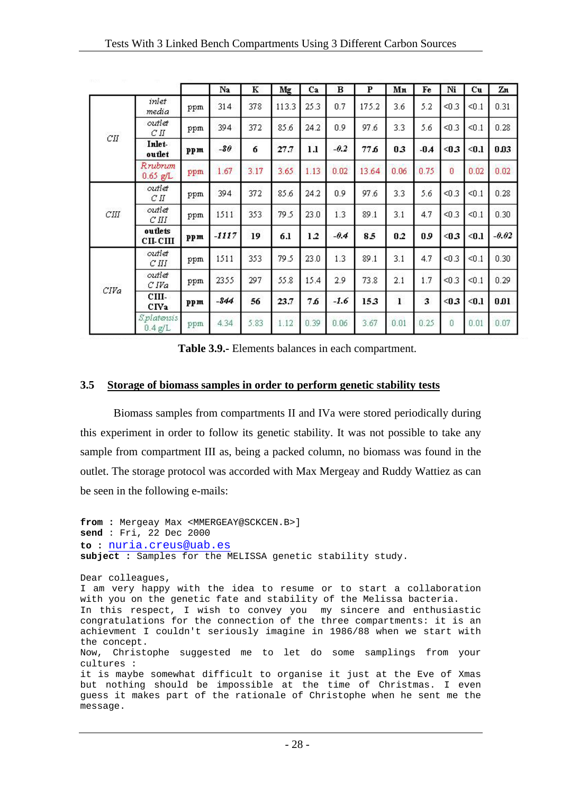|      |                          |     | Na      | К    | Mg    | Ca   | в      | P     | Mn           | Fe     | Ni    | Cu    | Zn      |
|------|--------------------------|-----|---------|------|-------|------|--------|-------|--------------|--------|-------|-------|---------|
|      | inlet<br>media           | ppm | 314     | 378  | 113.3 | 25.3 | 0.7    | 175.2 | 3.6          | 5.2    | < 0.3 | < 0.1 | 0.31    |
| CII  | outlet<br>C <sub>H</sub> | ppm | 394     | 372  | 85.6  | 24.2 | 0.9    | 97.6  | 3.3          | 5.6    | < 0.3 | < 0.1 | 0.28    |
|      | Inlet-<br>outlet         | ppm | $-80$   | 6    | 27.7  | 1.1  | $-0.2$ | 77.6  | 03           | $-0.4$ | < 0.3 | $0.1$ | 0.03    |
|      | Rrubrum<br>$0.65$ g/L    | ppm | 1.67    | 3.17 | 3.65  | 1.13 | 0.02   | 13.64 | 0.06         | 0.75   | 0     | 0.02  | 0.02    |
|      | outlet<br>C <sub>H</sub> | ppm | 394     | 372  | 85.6  | 24.2 | 0.9    | 97.6  | 3.3          | 5.6    | < 0.3 | < 0.1 | 0.28    |
| CIII | outlet<br>C III          | ppm | 1511    | 353  | 79.5  | 23.0 | 1.3    | 89.1  | 3.1          | 4.7    | < 0.3 | < 0.1 | 0.30    |
|      | outlets<br>CII-CIII      | ppm | $-1117$ | 19   | 6.1   | 1.2  | $-0.4$ | 8.5   | 0.2          | 0.9    | $0.3$ | $0.1$ | $-0.02$ |
|      | outlet<br>C III          | ppm | 1511    | 353  | 79.5  | 23.0 | 1.3    | 89.1  | 3.1          | 4.7    | < 0.3 | < 0.1 | 0.30    |
| CIVa | outlet<br>C IVa          | ppm | 2355    | 297  | 55.8  | 15.4 | 2.9    | 73.8  | 2.1          | 1.7    | $0.3$ | < 0.1 | 0.29    |
|      | CIII-<br>CIVa            | ppm | -844    | 56   | 23.7  | 76   | $-1.6$ | 153   | $\mathbf{I}$ | 3      | < 0.3 | $0.1$ | 0.01    |
|      | S.platensis<br>0.4 g/L   | ppm | 4.34    | 5.83 | 1.12  | 0.39 | 0.06   | 3.67  | 0.01         | 0.25   | Ű     | 0.01  | 0.07    |

**Table 3.9.-** Elements balances in each compartment.

#### **3.5 Storage of biomass samples in order to perform genetic stability tests**

Biomass samples from compartments II and IVa were stored periodically during this experiment in order to follow its genetic stability. It was not possible to take any sample from compartment III as, being a packed column, no biomass was found in the outlet. The storage protocol was accorded with Max Mergeay and Ruddy Wattiez as can be seen in the following e-mails:

```
from : Mergeay Max <MMERGEAY@SCKCEN.B>] 
send : Fri, 22 Dec 2000 
to : nuria.creus@uab.es
subject : Samples for the MELISSA genetic stability study. 
Dear colleagues, 
I am very happy with the idea to resume or to start a collaboration 
with you on the genetic fate and stability of the Melissa bacteria. 
In this respect, I wish to convey you my sincere and enthusiastic 
congratulations for the connection of the three compartments: it is an 
achievment I couldn't seriously imagine in 1986/88 when we start with 
the concept. 
Now, Christophe suggested me to let do some samplings from your 
cultures : 
it is maybe somewhat difficult to organise it just at the Eve of Xmas 
but nothing should be impossible at the time of Christmas. I even 
guess it makes part of the rationale of Christophe when he sent me the 
message.
```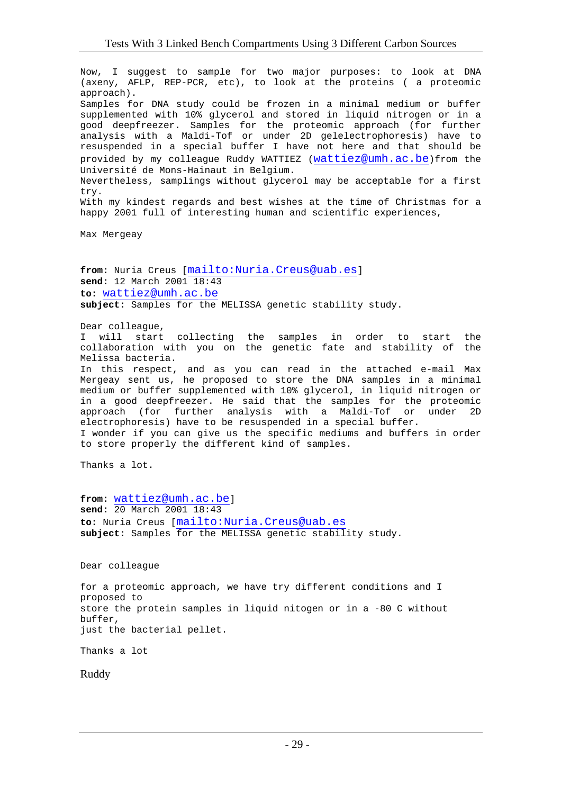Now, I suggest to sample for two major purposes: to look at DNA (axeny, AFLP, REP-PCR, etc), to look at the proteins ( a proteomic approach). Samples for DNA study could be frozen in a minimal medium or buffer supplemented with 10% glycerol and stored in liquid nitrogen or in a good deepfreezer. Samples for the proteomic approach (for further analysis with a Maldi-Tof or under 2D gelelectrophoresis) have to resuspended in a special buffer I have not here and that should be provided by my colleague Ruddy WATTIEZ (wattiez@umh.ac.be)from the Université de Mons-Hainaut in Belgium. Nevertheless, samplings without glycerol may be acceptable for a first try. With my kindest regards and best wishes at the time of Christmas for a happy 2001 full of interesting human and scientific experiences,

Max Mergeay

**from:** Nuria Creus [mailto:Nuria.Creus@uab.es] **send:** 12 March 2001 18:43 **to:** wattiez@umh.ac.be **subject:** Samples for the MELISSA genetic stability study.

Dear colleague,

I will start collecting the samples in order to start the collaboration with you on the genetic fate and stability of the Melissa bacteria.

In this respect, and as you can read in the attached e-mail Max Mergeay sent us, he proposed to store the DNA samples in a minimal medium or buffer supplemented with 10% glycerol, in liquid nitrogen or in a good deepfreezer. He said that the samples for the proteomic approach (for further analysis with a Maldi-Tof or under 2D electrophoresis) have to be resuspended in a special buffer. I wonder if you can give us the specific mediums and buffers in order to store properly the different kind of samples.

Thanks a lot.

**from:** wattiez@umh.ac.be] **send:** 20 March 2001 18:43 **to:** Nuria Creus [mailto:Nuria.Creus@uab.es **subject:** Samples for the MELISSA genetic stability study.

Dear colleague

for a proteomic approach, we have try different conditions and I proposed to store the protein samples in liquid nitogen or in a -80 C without buffer, just the bacterial pellet.

Thanks a lot

Ruddy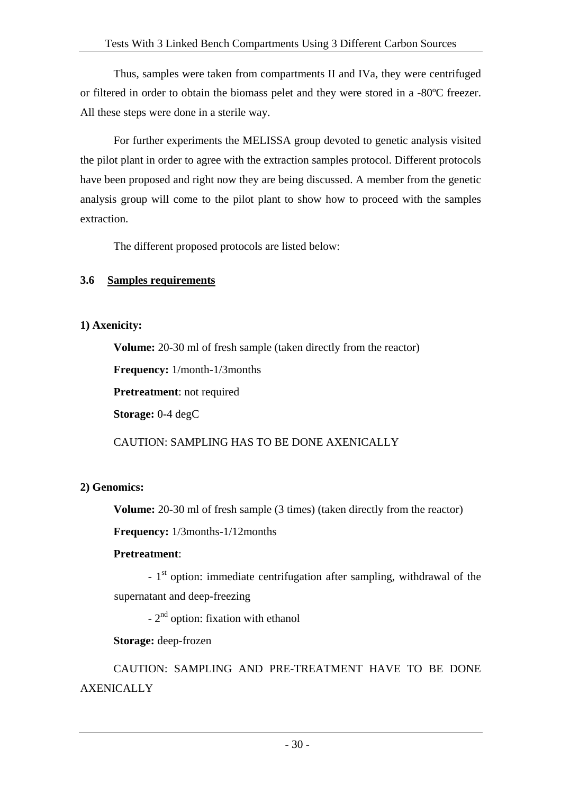Thus, samples were taken from compartments II and IVa, they were centrifuged or filtered in order to obtain the biomass pelet and they were stored in a -80ºC freezer. All these steps were done in a sterile way.

For further experiments the MELISSA group devoted to genetic analysis visited the pilot plant in order to agree with the extraction samples protocol. Different protocols have been proposed and right now they are being discussed. A member from the genetic analysis group will come to the pilot plant to show how to proceed with the samples extraction.

The different proposed protocols are listed below:

## **3.6 Samples requirements**

## **1) Axenicity:**

**Volume:** 20-30 ml of fresh sample (taken directly from the reactor)

**Frequency:** 1/month-1/3months

**Pretreatment**: not required

**Storage:** 0-4 degC

CAUTION: SAMPLING HAS TO BE DONE AXENICALLY

## **2) Genomics:**

**Volume:** 20-30 ml of fresh sample (3 times) (taken directly from the reactor)

**Frequency:** 1/3months-1/12months

## **Pretreatment**:

- 1<sup>st</sup> option: immediate centrifugation after sampling, withdrawal of the supernatant and deep-freezing

 $-2<sup>nd</sup>$  option: fixation with ethanol

**Storage:** deep-frozen

CAUTION: SAMPLING AND PRE-TREATMENT HAVE TO BE DONE **AXENICALLY**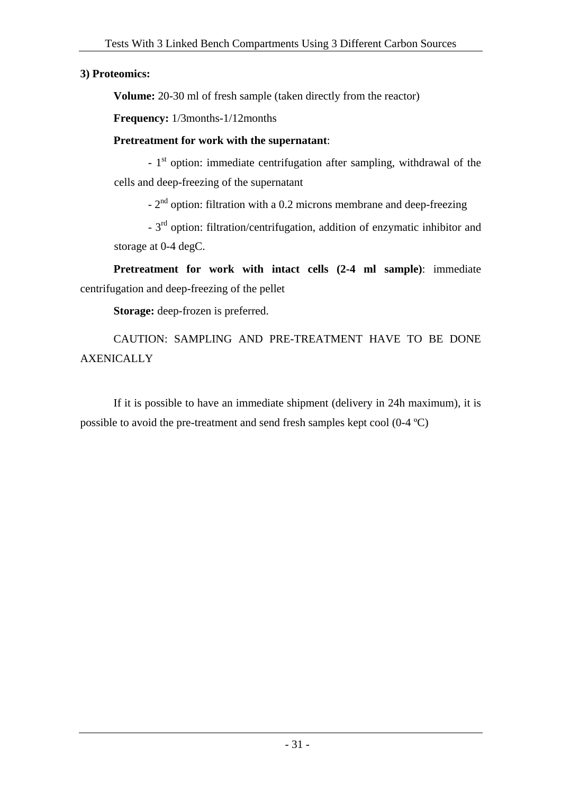## **3) Proteomics:**

**Volume:** 20-30 ml of fresh sample (taken directly from the reactor)

**Frequency:** 1/3months-1/12months

## **Pretreatment for work with the supernatant**:

 $-1$ <sup>st</sup> option: immediate centrifugation after sampling, withdrawal of the cells and deep-freezing of the supernatant

- 2nd option: filtration with a 0.2 microns membrane and deep-freezing

- 3<sup>rd</sup> option: filtration/centrifugation, addition of enzymatic inhibitor and storage at 0-4 degC.

**Pretreatment for work with intact cells (2-4 ml sample)**: immediate centrifugation and deep-freezing of the pellet

**Storage:** deep-frozen is preferred.

CAUTION: SAMPLING AND PRE-TREATMENT HAVE TO BE DONE **AXENICALLY** 

If it is possible to have an immediate shipment (delivery in 24h maximum), it is possible to avoid the pre-treatment and send fresh samples kept cool (0-4 ºC)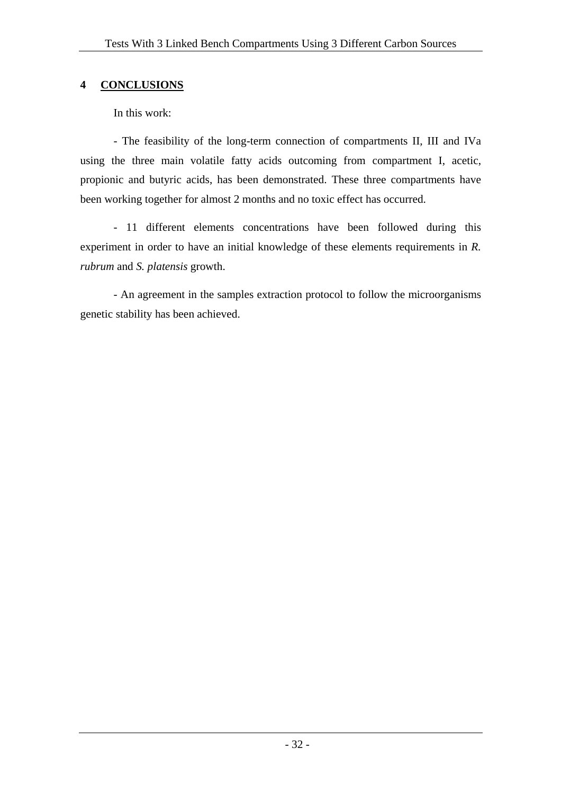## **4 CONCLUSIONS**

In this work:

- The feasibility of the long-term connection of compartments II, III and IVa using the three main volatile fatty acids outcoming from compartment I, acetic, propionic and butyric acids, has been demonstrated. These three compartments have been working together for almost 2 months and no toxic effect has occurred.

- 11 different elements concentrations have been followed during this experiment in order to have an initial knowledge of these elements requirements in *R. rubrum* and *S. platensis* growth.

- An agreement in the samples extraction protocol to follow the microorganisms genetic stability has been achieved.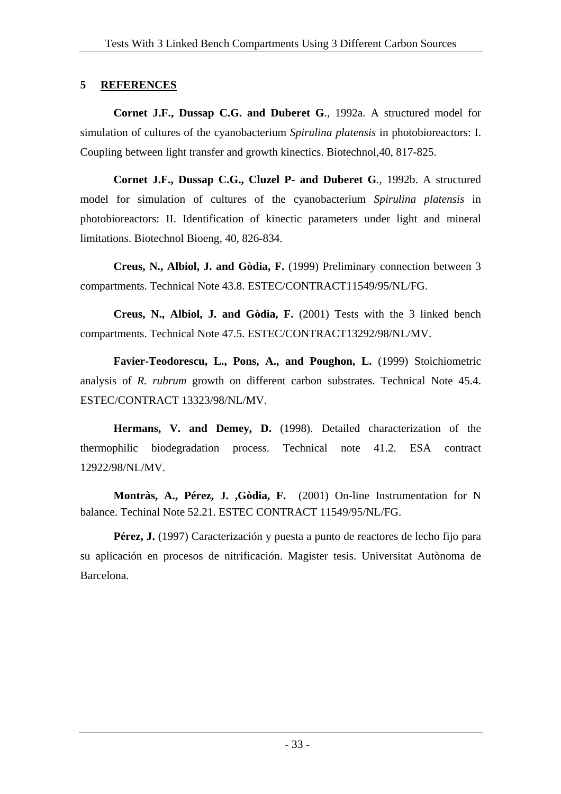## **5 REFERENCES**

**Cornet J.F., Dussap C.G. and Duberet G**., 1992a. A structured model for simulation of cultures of the cyanobacterium *Spirulina platensis* in photobioreactors: I. Coupling between light transfer and growth kinectics. Biotechnol,40, 817-825.

**Cornet J.F., Dussap C.G., Cluzel P- and Duberet G**., 1992b. A structured model for simulation of cultures of the cyanobacterium *Spirulina platensis* in photobioreactors: II. Identification of kinectic parameters under light and mineral limitations. Biotechnol Bioeng, 40, 826-834.

**Creus, N., Albiol, J. and Gòdia, F.** (1999) Preliminary connection between 3 compartments. Technical Note 43.8. ESTEC/CONTRACT11549/95/NL/FG.

**Creus, N., Albiol, J. and Gòdia, F.** (2001) Tests with the 3 linked bench compartments. Technical Note 47.5. ESTEC/CONTRACT13292/98/NL/MV.

Favier-Teodorescu, L., Pons, A., and Poughon, L. (1999) Stoichiometric analysis of *R. rubrum* growth on different carbon substrates. Technical Note 45.4. ESTEC/CONTRACT 13323/98/NL/MV.

**Hermans, V. and Demey, D.** (1998). Detailed characterization of the thermophilic biodegradation process. Technical note 41.2. ESA contract 12922/98/NL/MV.

**Montràs, A., Pérez, J. ,Gòdia, F.** (2001) On-line Instrumentation for N balance. Techinal Note 52.21. ESTEC CONTRACT 11549/95/NL/FG.

**Pérez, J.** (1997) Caracterización y puesta a punto de reactores de lecho fijo para su aplicación en procesos de nitrificación. Magister tesis. Universitat Autònoma de Barcelona.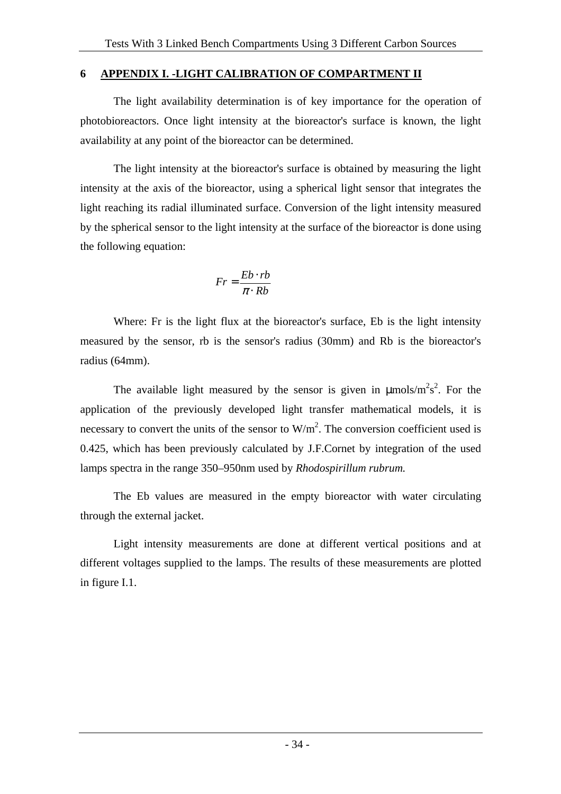### **6 APPENDIX I. -LIGHT CALIBRATION OF COMPARTMENT II**

The light availability determination is of key importance for the operation of photobioreactors. Once light intensity at the bioreactor's surface is known, the light availability at any point of the bioreactor can be determined.

The light intensity at the bioreactor's surface is obtained by measuring the light intensity at the axis of the bioreactor, using a spherical light sensor that integrates the light reaching its radial illuminated surface. Conversion of the light intensity measured by the spherical sensor to the light intensity at the surface of the bioreactor is done using the following equation:

$$
Fr = \frac{Eb \cdot rb}{\pi \cdot Rb}
$$

Where: Fr is the light flux at the bioreactor's surface, Eb is the light intensity measured by the sensor, rb is the sensor's radius (30mm) and Rb is the bioreactor's radius (64mm).

The available light measured by the sensor is given in  $\mu$ mols/m<sup>2</sup>s<sup>2</sup>. For the application of the previously developed light transfer mathematical models, it is necessary to convert the units of the sensor to  $W/m<sup>2</sup>$ . The conversion coefficient used is 0.425, which has been previously calculated by J.F.Cornet by integration of the used lamps spectra in the range 350–950nm used by *Rhodospirillum rubrum.* 

The Eb values are measured in the empty bioreactor with water circulating through the external jacket.

Light intensity measurements are done at different vertical positions and at different voltages supplied to the lamps. The results of these measurements are plotted in figure I.1.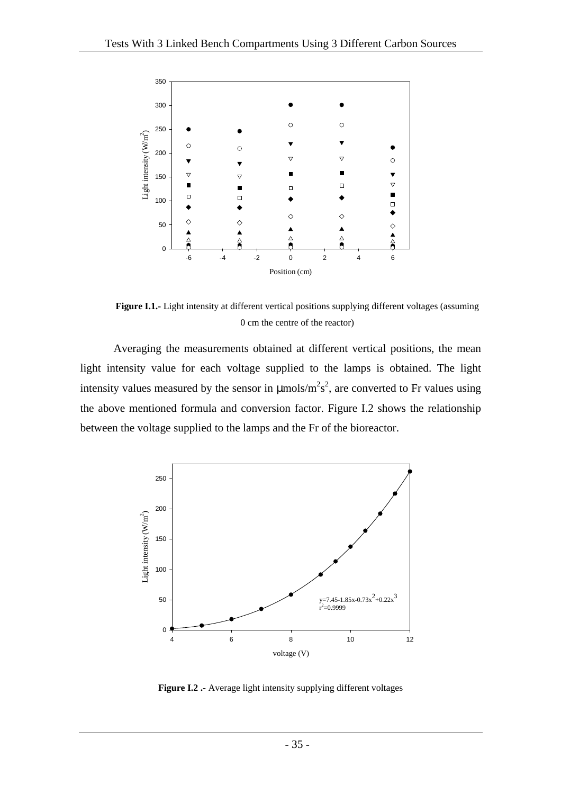

**Figure I.1.-** Light intensity at different vertical positions supplying different voltages (assuming 0 cm the centre of the reactor)

Averaging the measurements obtained at different vertical positions, the mean light intensity value for each voltage supplied to the lamps is obtained. The light intensity values measured by the sensor in  $\mu$ mols/m<sup>2</sup>s<sup>2</sup>, are converted to Fr values using the above mentioned formula and conversion factor. Figure I.2 shows the relationship between the voltage supplied to the lamps and the Fr of the bioreactor.



**Figure I.2 .-** Average light intensity supplying different voltages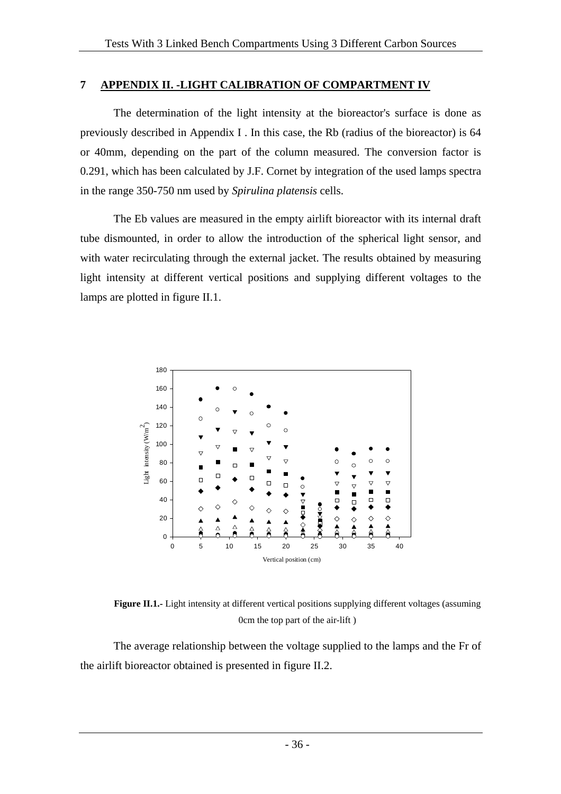#### **7 APPENDIX II. -LIGHT CALIBRATION OF COMPARTMENT IV**

The determination of the light intensity at the bioreactor's surface is done as previously described in Appendix I . In this case, the Rb (radius of the bioreactor) is 64 or 40mm, depending on the part of the column measured. The conversion factor is 0.291, which has been calculated by J.F. Cornet by integration of the used lamps spectra in the range 350-750 nm used by *Spirulina platensis* cells.

The Eb values are measured in the empty airlift bioreactor with its internal draft tube dismounted, in order to allow the introduction of the spherical light sensor, and with water recirculating through the external jacket. The results obtained by measuring light intensity at different vertical positions and supplying different voltages to the lamps are plotted in figure II.1.



**Figure II.1.**- Light intensity at different vertical positions supplying different voltages (assuming 0cm the top part of the air-lift )

The average relationship between the voltage supplied to the lamps and the Fr of the airlift bioreactor obtained is presented in figure II.2.